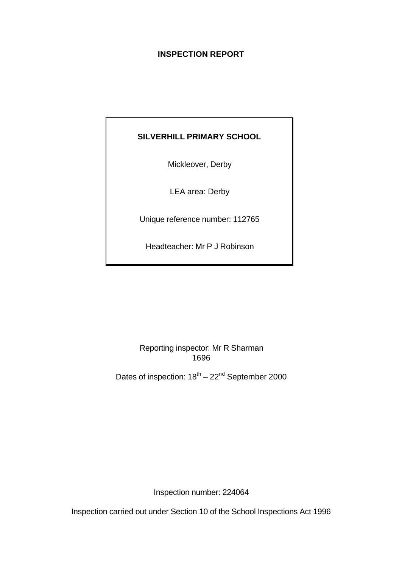## **INSPECTION REPORT**

# **SILVERHILL PRIMARY SCHOOL**

Mickleover, Derby

LEA area: Derby

Unique reference number: 112765

Headteacher: Mr P J Robinson

Reporting inspector: Mr R Sharman 1696

Dates of inspection:  $18^{\text{th}} - 22^{\text{nd}}$  September 2000

Inspection number: 224064

Inspection carried out under Section 10 of the School Inspections Act 1996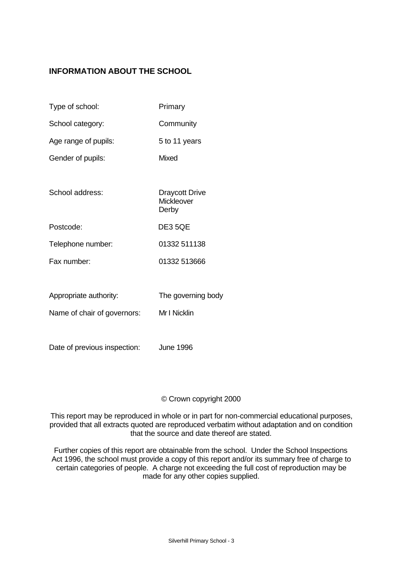# **INFORMATION ABOUT THE SCHOOL**

| Type of school:             | Primary                                      |
|-----------------------------|----------------------------------------------|
| School category:            | Community                                    |
| Age range of pupils:        | 5 to 11 years                                |
| Gender of pupils:           | Mixed                                        |
|                             |                                              |
| School address:             | <b>Draycott Drive</b><br>Mickleover<br>Derby |
| Postcode:                   | DE35QE                                       |
| Telephone number:           | 01332 511138                                 |
| Fax number                  | 01332 513666                                 |
|                             |                                              |
| Appropriate authority:      | The governing body                           |
| Name of chair of governors: | Mr I Nicklin                                 |
|                             |                                              |

Date of previous inspection: June 1996

## © Crown copyright 2000

This report may be reproduced in whole or in part for non-commercial educational purposes, provided that all extracts quoted are reproduced verbatim without adaptation and on condition that the source and date thereof are stated.

Further copies of this report are obtainable from the school. Under the School Inspections Act 1996, the school must provide a copy of this report and/or its summary free of charge to certain categories of people. A charge not exceeding the full cost of reproduction may be made for any other copies supplied.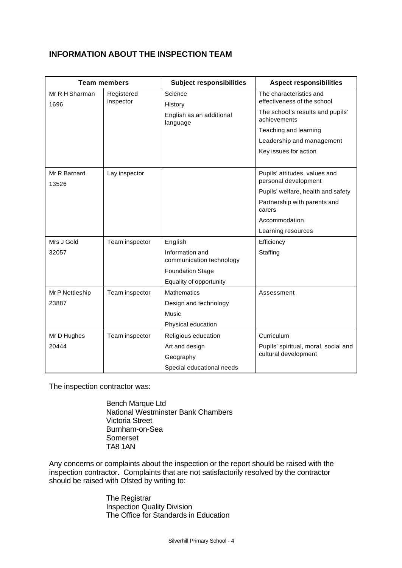## **INFORMATION ABOUT THE INSPECTION TEAM**

| <b>Team members</b>    |                         | <b>Subject responsibilities</b><br><b>Aspect responsibilities</b> |                                                        |
|------------------------|-------------------------|-------------------------------------------------------------------|--------------------------------------------------------|
| Mr R H Sharman<br>1696 | Registered<br>inspector | Science<br>History                                                | The characteristics and<br>effectiveness of the school |
|                        |                         | English as an additional<br>language                              | The school's results and pupils'<br>achievements       |
|                        |                         |                                                                   | Teaching and learning                                  |
|                        |                         |                                                                   | Leadership and management                              |
|                        |                         |                                                                   | Key issues for action                                  |
| Mr R Barnard<br>13526  | Lay inspector           |                                                                   | Pupils' attitudes, values and<br>personal development  |
|                        |                         |                                                                   | Pupils' welfare, health and safety                     |
|                        |                         |                                                                   | Partnership with parents and<br>carers                 |
|                        |                         |                                                                   | Accommodation                                          |
|                        |                         |                                                                   | Learning resources                                     |
| Mrs J Gold             | Team inspector          | English                                                           | Efficiency                                             |
| 32057                  |                         | Information and                                                   | Staffing                                               |
|                        |                         | communication technology                                          |                                                        |
|                        |                         | <b>Foundation Stage</b>                                           |                                                        |
|                        |                         | Equality of opportunity                                           |                                                        |
| Mr P Nettleship        | Team inspector          | <b>Mathematics</b>                                                | Assessment                                             |
| 23887                  |                         | Design and technology                                             |                                                        |
|                        |                         | Music                                                             |                                                        |
|                        |                         | Physical education                                                |                                                        |
| Mr D Hughes            | Team inspector          | Religious education                                               | Curriculum                                             |
| 20444                  |                         | Art and design                                                    | Pupils' spiritual, moral, social and                   |
|                        |                         | Geography                                                         | cultural development                                   |
|                        |                         | Special educational needs                                         |                                                        |

The inspection contractor was:

Bench Marque Ltd National Westminster Bank Chambers Victoria Street Burnham-on-Sea Somerset TA8 1AN

Any concerns or complaints about the inspection or the report should be raised with the inspection contractor. Complaints that are not satisfactorily resolved by the contractor should be raised with Ofsted by writing to:

> The Registrar Inspection Quality Division The Office for Standards in Education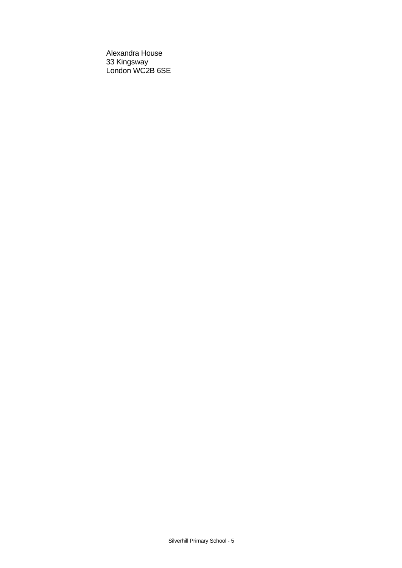Alexandra House 33 Kingsway London WC2B 6SE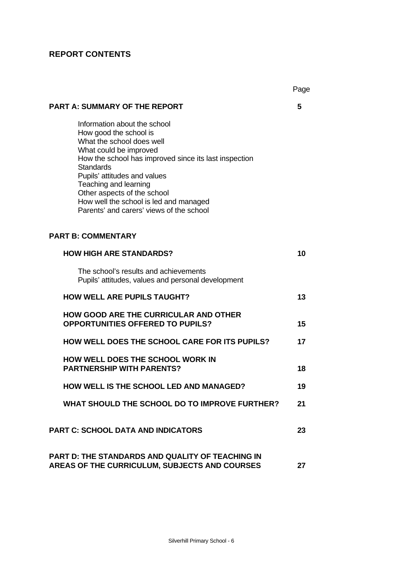# **REPORT CONTENTS**

|                                                                                                                                                                                                                                                                                                                                                                          | Page |
|--------------------------------------------------------------------------------------------------------------------------------------------------------------------------------------------------------------------------------------------------------------------------------------------------------------------------------------------------------------------------|------|
| <b>PART A: SUMMARY OF THE REPORT</b>                                                                                                                                                                                                                                                                                                                                     | 5    |
| Information about the school<br>How good the school is<br>What the school does well<br>What could be improved<br>How the school has improved since its last inspection<br><b>Standards</b><br>Pupils' attitudes and values<br>Teaching and learning<br>Other aspects of the school<br>How well the school is led and managed<br>Parents' and carers' views of the school |      |
| <b>PART B: COMMENTARY</b>                                                                                                                                                                                                                                                                                                                                                |      |
| <b>HOW HIGH ARE STANDARDS?</b>                                                                                                                                                                                                                                                                                                                                           | 10   |
| The school's results and achievements<br>Pupils' attitudes, values and personal development                                                                                                                                                                                                                                                                              |      |
| <b>HOW WELL ARE PUPILS TAUGHT?</b>                                                                                                                                                                                                                                                                                                                                       | 13   |
| <b>HOW GOOD ARE THE CURRICULAR AND OTHER</b><br><b>OPPORTUNITIES OFFERED TO PUPILS?</b>                                                                                                                                                                                                                                                                                  | 15   |
| <b>HOW WELL DOES THE SCHOOL CARE FOR ITS PUPILS?</b>                                                                                                                                                                                                                                                                                                                     | 17   |
| HOW WELL DOES THE SCHOOL WORK IN<br><b>PARTNERSHIP WITH PARENTS?</b>                                                                                                                                                                                                                                                                                                     | 18   |
| HOW WELL IS THE SCHOOL LED AND MANAGED?                                                                                                                                                                                                                                                                                                                                  | 19   |
| WHAT SHOULD THE SCHOOL DO TO IMPROVE FURTHER?                                                                                                                                                                                                                                                                                                                            | 21   |
| <b>PART C: SCHOOL DATA AND INDICATORS</b>                                                                                                                                                                                                                                                                                                                                | 23   |
| <b>PART D: THE STANDARDS AND QUALITY OF TEACHING IN</b><br>AREAS OF THE CURRICULUM, SUBJECTS AND COURSES                                                                                                                                                                                                                                                                 | 27   |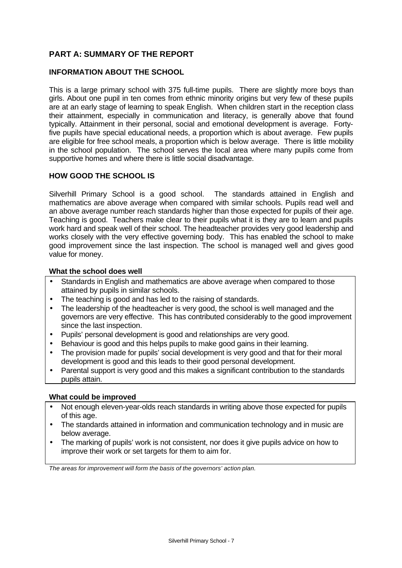## **PART A: SUMMARY OF THE REPORT**

#### **INFORMATION ABOUT THE SCHOOL**

This is a large primary school with 375 full-time pupils. There are slightly more boys than girls. About one pupil in ten comes from ethnic minority origins but very few of these pupils are at an early stage of learning to speak English. When children start in the reception class their attainment, especially in communication and literacy, is generally above that found typically. Attainment in their personal, social and emotional development is average. Fortyfive pupils have special educational needs, a proportion which is about average. Few pupils are eligible for free school meals, a proportion which is below average. There is little mobility in the school population. The school serves the local area where many pupils come from supportive homes and where there is little social disadvantage.

#### **HOW GOOD THE SCHOOL IS**

Silverhill Primary School is a good school. The standards attained in English and mathematics are above average when compared with similar schools. Pupils read well and an above average number reach standards higher than those expected for pupils of their age. Teaching is good. Teachers make clear to their pupils what it is they are to learn and pupils work hard and speak well of their school. The headteacher provides very good leadership and works closely with the very effective governing body. This has enabled the school to make good improvement since the last inspection. The school is managed well and gives good value for money.

#### **What the school does well**

- Standards in English and mathematics are above average when compared to those attained by pupils in similar schools.
- The teaching is good and has led to the raising of standards.
- The leadership of the headteacher is very good, the school is well managed and the governors are very effective. This has contributed considerably to the good improvement since the last inspection.
- Pupils' personal development is good and relationships are very good.
- Behaviour is good and this helps pupils to make good gains in their learning.
- The provision made for pupils' social development is very good and that for their moral development is good and this leads to their good personal development.
- Parental support is very good and this makes a significant contribution to the standards pupils attain.

#### **What could be improved**

- Not enough eleven-year-olds reach standards in writing above those expected for pupils of this age.
- The standards attained in information and communication technology and in music are below average.
- The marking of pupils' work is not consistent, nor does it give pupils advice on how to improve their work or set targets for them to aim for.

*The areas for improvement will form the basis of the governors' action plan.*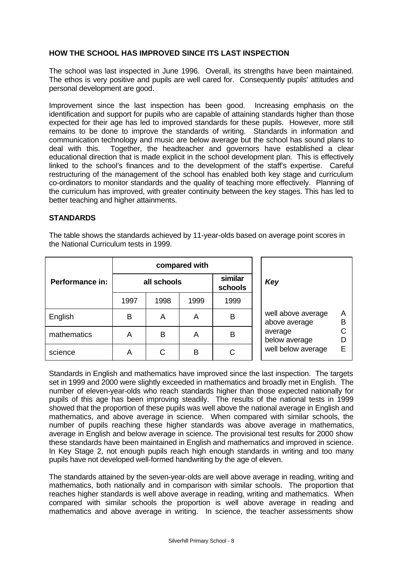## **HOW THE SCHOOL HAS IMPROVED SINCE ITS LAST INSPECTION**

The school was last inspected in June 1996. Overall, its strengths have been maintained. The ethos is very positive and pupils are well cared for. Consequently pupils' attitudes and personal development are good.

Improvement since the last inspection has been good. Increasing emphasis on the identification and support for pupils who are capable of attaining standards higher than those expected for their age has led to improved standards for these pupils. However, more still remains to be done to improve the standards of writing. Standards in information and communication technology and music are below average but the school has sound plans to deal with this. Together, the headteacher and governors have established a clear educational direction that is made explicit in the school development plan. This is effectively linked to the school's finances and to the development of the staff's expertise. Careful restructuring of the management of the school has enabled both key stage and curriculum co-ordinators to monitor standards and the quality of teaching more effectively. Planning of the curriculum has improved, with greater continuity between the key stages. This has led to better teaching and higher attainments.

#### **STANDARDS**

The table shows the standards achieved by 11-year-olds based on average point scores in the National Curriculum tests in 1999.

|                 | compared with |      |      |                    |                                               |
|-----------------|---------------|------|------|--------------------|-----------------------------------------------|
| Performance in: | all schools   |      |      | similar<br>schools | Key                                           |
|                 | 1997          | 1998 | 1999 | 1999               |                                               |
| English         | В             | A    | Α    | В                  | well above average<br>Α<br>B<br>above average |
| mathematics     | Α             | B    | A    | в                  | average<br>below average                      |
| science         | Α             | С    | B    | C                  | well below average<br>F                       |

Standards in English and mathematics have improved since the last inspection. The targets set in 1999 and 2000 were slightly exceeded in mathematics and broadly met in English. The number of eleven-year-olds who reach standards higher than those expected nationally for pupils of this age has been improving steadily. The results of the national tests in 1999 showed that the proportion of these pupils was well above the national average in English and mathematics, and above average in science. When compared with similar schools, the number of pupils reaching these higher standards was above average in mathematics, average in English and below average in science. The provisional test results for 2000 show these standards have been maintained in English and mathematics and improved in science. In Key Stage 2, not enough pupils reach high enough standards in writing and too many pupils have not developed well-formed handwriting by the age of eleven.

The standards attained by the seven-year-olds are well above average in reading, writing and mathematics, both nationally and in comparison with similar schools. The proportion that reaches higher standards is well above average in reading, writing and mathematics. When compared with similar schools the proportion is well above average in reading and mathematics and above average in writing. In science, the teacher assessments show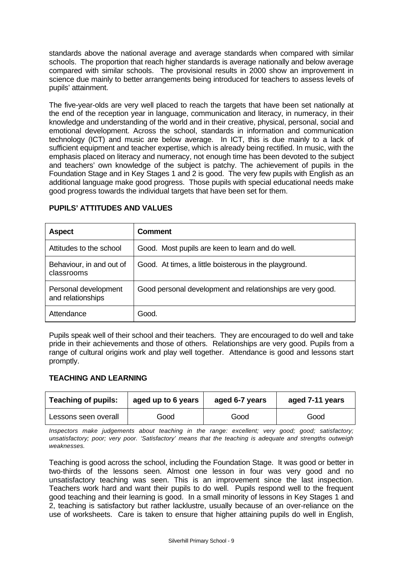standards above the national average and average standards when compared with similar schools. The proportion that reach higher standards is average nationally and below average compared with similar schools. The provisional results in 2000 show an improvement in science due mainly to better arrangements being introduced for teachers to assess levels of pupils' attainment.

The five-year-olds are very well placed to reach the targets that have been set nationally at the end of the reception year in language, communication and literacy, in numeracy, in their knowledge and understanding of the world and in their creative, physical, personal, social and emotional development. Across the school, standards in information and communication technology (ICT) and music are below average. In ICT, this is due mainly to a lack of sufficient equipment and teacher expertise, which is already being rectified. In music, with the emphasis placed on literacy and numeracy, not enough time has been devoted to the subject and teachers' own knowledge of the subject is patchy. The achievement of pupils in the Foundation Stage and in Key Stages 1 and 2 is good. The very few pupils with English as an additional language make good progress. Those pupils with special educational needs make good progress towards the individual targets that have been set for them.

| <b>Aspect</b>                             | <b>Comment</b>                                             |
|-------------------------------------------|------------------------------------------------------------|
| Attitudes to the school                   | Good. Most pupils are keen to learn and do well.           |
| Behaviour, in and out of<br>classrooms    | Good. At times, a little boisterous in the playground.     |
| Personal development<br>and relationships | Good personal development and relationships are very good. |
| Attendance                                | Good.                                                      |

## **PUPILS' ATTITUDES AND VALUES**

Pupils speak well of their school and their teachers. They are encouraged to do well and take pride in their achievements and those of others. Relationships are very good. Pupils from a range of cultural origins work and play well together. Attendance is good and lessons start promptly.

## **TEACHING AND LEARNING**

| <b>Teaching of pupils:</b><br>aged up to 6 years |      | aged 6-7 years | aged 7-11 years |  |
|--------------------------------------------------|------|----------------|-----------------|--|
| Lessons seen overall                             | Good | Good           | Good            |  |

*Inspectors make judgements about teaching in the range: excellent; very good; good; satisfactory; unsatisfactory; poor; very poor. 'Satisfactory' means that the teaching is adequate and strengths outweigh weaknesses.*

Teaching is good across the school, including the Foundation Stage. It was good or better in two-thirds of the lessons seen. Almost one lesson in four was very good and no unsatisfactory teaching was seen. This is an improvement since the last inspection. Teachers work hard and want their pupils to do well. Pupils respond well to the frequent good teaching and their learning is good. In a small minority of lessons in Key Stages 1 and 2, teaching is satisfactory but rather lacklustre, usually because of an over-reliance on the use of worksheets. Care is taken to ensure that higher attaining pupils do well in English,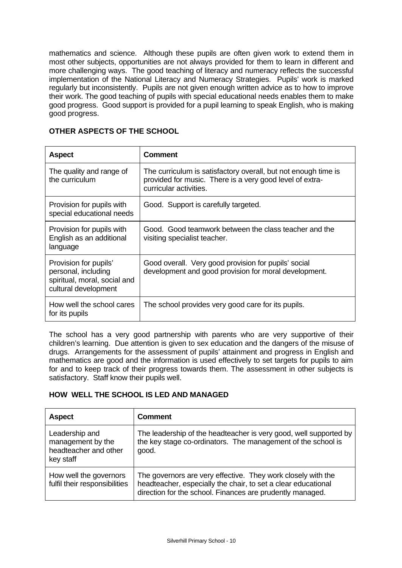mathematics and science. Although these pupils are often given work to extend them in most other subjects, opportunities are not always provided for them to learn in different and more challenging ways. The good teaching of literacy and numeracy reflects the successful implementation of the National Literacy and Numeracy Strategies. Pupils' work is marked regularly but inconsistently. Pupils are not given enough written advice as to how to improve their work. The good teaching of pupils with special educational needs enables them to make good progress. Good support is provided for a pupil learning to speak English, who is making good progress.

### **OTHER ASPECTS OF THE SCHOOL**

| <b>Aspect</b>                                                                                        | Comment                                                                                                                                              |
|------------------------------------------------------------------------------------------------------|------------------------------------------------------------------------------------------------------------------------------------------------------|
| The quality and range of<br>the curriculum                                                           | The curriculum is satisfactory overall, but not enough time is<br>provided for music. There is a very good level of extra-<br>curricular activities. |
| Provision for pupils with<br>special educational needs                                               | Good. Support is carefully targeted.                                                                                                                 |
| Provision for pupils with<br>English as an additional<br>language                                    | Good. Good teamwork between the class teacher and the<br>visiting specialist teacher.                                                                |
| Provision for pupils'<br>personal, including<br>spiritual, moral, social and<br>cultural development | Good overall. Very good provision for pupils' social<br>development and good provision for moral development.                                        |
| How well the school cares<br>for its pupils                                                          | The school provides very good care for its pupils.                                                                                                   |

The school has a very good partnership with parents who are very supportive of their children's learning. Due attention is given to sex education and the dangers of the misuse of drugs. Arrangements for the assessment of pupils' attainment and progress in English and mathematics are good and the information is used effectively to set targets for pupils to aim for and to keep track of their progress towards them. The assessment in other subjects is satisfactory. Staff know their pupils well.

## **HOW WELL THE SCHOOL IS LED AND MANAGED**

| <b>Aspect</b>                                                             | <b>Comment</b>                                                                                                                                                                             |
|---------------------------------------------------------------------------|--------------------------------------------------------------------------------------------------------------------------------------------------------------------------------------------|
| Leadership and<br>management by the<br>headteacher and other<br>key staff | The leadership of the headteacher is very good, well supported by<br>the key stage co-ordinators. The management of the school is<br>good.                                                 |
| How well the governors<br>fulfil their responsibilities                   | The governors are very effective. They work closely with the<br>headteacher, especially the chair, to set a clear educational<br>direction for the school. Finances are prudently managed. |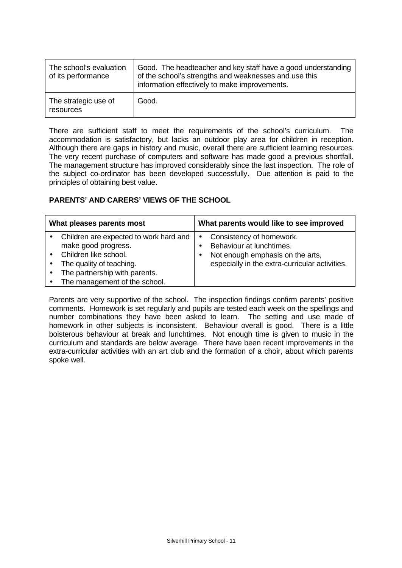| The school's evaluation<br>of its performance | Good. The headteacher and key staff have a good understanding<br>of the school's strengths and weaknesses and use this<br>information effectively to make improvements. |
|-----------------------------------------------|-------------------------------------------------------------------------------------------------------------------------------------------------------------------------|
| The strategic use of<br>resources             | Good.                                                                                                                                                                   |

There are sufficient staff to meet the requirements of the school's curriculum. The accommodation is satisfactory, but lacks an outdoor play area for children in reception. Although there are gaps in history and music, overall there are sufficient learning resources. The very recent purchase of computers and software has made good a previous shortfall. The management structure has improved considerably since the last inspection. The role of the subject co-ordinator has been developed successfully. Due attention is paid to the principles of obtaining best value.

## **PARENTS' AND CARERS' VIEWS OF THE SCHOOL**

| What pleases parents most |                                                               | What parents would like to see improved |                                                      |  |
|---------------------------|---------------------------------------------------------------|-----------------------------------------|------------------------------------------------------|--|
|                           | Children are expected to work hard and<br>make good progress. | $\bullet$                               | Consistency of homework.<br>Behaviour at lunchtimes. |  |
|                           | Children like school.                                         |                                         | Not enough emphasis on the arts,                     |  |
|                           | The quality of teaching.                                      |                                         | especially in the extra-curricular activities.       |  |
|                           | The partnership with parents.                                 |                                         |                                                      |  |
|                           | The management of the school.                                 |                                         |                                                      |  |

Parents are very supportive of the school. The inspection findings confirm parents' positive comments. Homework is set regularly and pupils are tested each week on the spellings and number combinations they have been asked to learn. The setting and use made of homework in other subjects is inconsistent. Behaviour overall is good. There is a little boisterous behaviour at break and lunchtimes. Not enough time is given to music in the curriculum and standards are below average. There have been recent improvements in the extra-curricular activities with an art club and the formation of a choir, about which parents spoke well.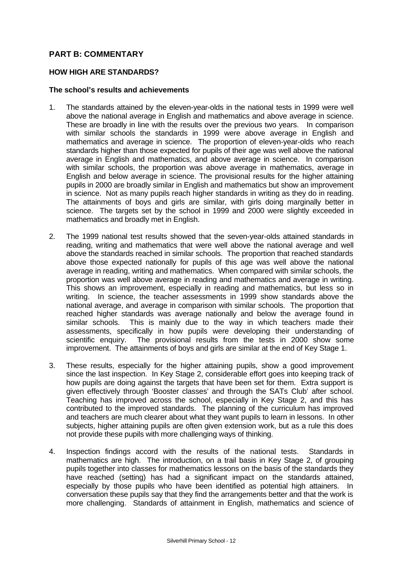## **PART B: COMMENTARY**

#### **HOW HIGH ARE STANDARDS?**

#### **The school's results and achievements**

- 1. The standards attained by the eleven-year-olds in the national tests in 1999 were well above the national average in English and mathematics and above average in science. These are broadly in line with the results over the previous two years. In comparison with similar schools the standards in 1999 were above average in English and mathematics and average in science. The proportion of eleven-year-olds who reach standards higher than those expected for pupils of their age was well above the national average in English and mathematics, and above average in science. In comparison with similar schools, the proportion was above average in mathematics, average in English and below average in science. The provisional results for the higher attaining pupils in 2000 are broadly similar in English and mathematics but show an improvement in science. Not as many pupils reach higher standards in writing as they do in reading. The attainments of boys and girls are similar, with girls doing marginally better in science. The targets set by the school in 1999 and 2000 were slightly exceeded in mathematics and broadly met in English.
- 2. The 1999 national test results showed that the seven-year-olds attained standards in reading, writing and mathematics that were well above the national average and well above the standards reached in similar schools. The proportion that reached standards above those expected nationally for pupils of this age was well above the national average in reading, writing and mathematics. When compared with similar schools, the proportion was well above average in reading and mathematics and average in writing. This shows an improvement, especially in reading and mathematics, but less so in writing. In science, the teacher assessments in 1999 show standards above the national average, and average in comparison with similar schools. The proportion that reached higher standards was average nationally and below the average found in similar schools. This is mainly due to the way in which teachers made their assessments, specifically in how pupils were developing their understanding of scientific enquiry. The provisional results from the tests in 2000 show some improvement. The attainments of boys and girls are similar at the end of Key Stage 1.
- 3. These results, especially for the higher attaining pupils, show a good improvement since the last inspection. In Key Stage 2, considerable effort goes into keeping track of how pupils are doing against the targets that have been set for them. Extra support is given effectively through 'Booster classes' and through the SATs Club' after school. Teaching has improved across the school, especially in Key Stage 2, and this has contributed to the improved standards. The planning of the curriculum has improved and teachers are much clearer about what they want pupils to learn in lessons. In other subjects, higher attaining pupils are often given extension work, but as a rule this does not provide these pupils with more challenging ways of thinking.
- 4. Inspection findings accord with the results of the national tests. Standards in mathematics are high. The introduction, on a trail basis in Key Stage 2, of grouping pupils together into classes for mathematics lessons on the basis of the standards they have reached (setting) has had a significant impact on the standards attained, especially by those pupils who have been identified as potential high attainers. In conversation these pupils say that they find the arrangements better and that the work is more challenging. Standards of attainment in English, mathematics and science of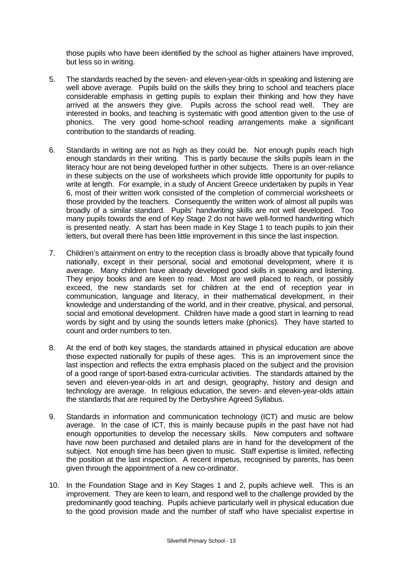those pupils who have been identified by the school as higher attainers have improved, but less so in writing.

- 5. The standards reached by the seven- and eleven-year-olds in speaking and listening are well above average. Pupils build on the skills they bring to school and teachers place considerable emphasis in getting pupils to explain their thinking and how they have arrived at the answers they give. Pupils across the school read well. They are interested in books, and teaching is systematic with good attention given to the use of phonics. The very good home-school reading arrangements make a significant contribution to the standards of reading.
- 6. Standards in writing are not as high as they could be. Not enough pupils reach high enough standards in their writing. This is partly because the skills pupils learn in the literacy hour are not being developed further in other subjects. There is an over-reliance in these subjects on the use of worksheets which provide little opportunity for pupils to write at length. For example, in a study of Ancient Greece undertaken by pupils in Year 6, most of their written work consisted of the completion of commercial worksheets or those provided by the teachers. Consequently the written work of almost all pupils was broadly of a similar standard. Pupils' handwriting skills are not well developed. Too many pupils towards the end of Key Stage 2 do not have well-formed handwriting which is presented neatly. A start has been made in Key Stage 1 to teach pupils to join their letters, but overall there has been little improvement in this since the last inspection.
- 7. Children's attainment on entry to the reception class is broadly above that typically found nationally, except in their personal, social and emotional development, where it is average. Many children have already developed good skills in speaking and listening. They enjoy books and are keen to read. Most are well placed to reach, or possibly exceed, the new standards set for children at the end of reception year in communication, language and literacy, in their mathematical development, in their knowledge and understanding of the world, and in their creative, physical, and personal, social and emotional development. Children have made a good start in learning to read words by sight and by using the sounds letters make (phonics). They have started to count and order numbers to ten.
- 8. At the end of both key stages, the standards attained in physical education are above those expected nationally for pupils of these ages. This is an improvement since the last inspection and reflects the extra emphasis placed on the subject and the provision of a good range of sport-based extra-curricular activities. The standards attained by the seven and eleven-year-olds in art and design, geography, history and design and technology are average. In religious education, the seven- and eleven-year-olds attain the standards that are required by the Derbyshire Agreed Syllabus.
- 9. Standards in information and communication technology (ICT) and music are below average. In the case of ICT, this is mainly because pupils in the past have not had enough opportunities to develop the necessary skills. New computers and software have now been purchased and detailed plans are in hand for the development of the subject. Not enough time has been given to music. Staff expertise is limited, reflecting the position at the last inspection. A recent impetus, recognised by parents, has been given through the appointment of a new co-ordinator.
- 10. In the Foundation Stage and in Key Stages 1 and 2, pupils achieve well. This is an improvement. They are keen to learn, and respond well to the challenge provided by the predominantly good teaching. Pupils achieve particularly well in physical education due to the good provision made and the number of staff who have specialist expertise in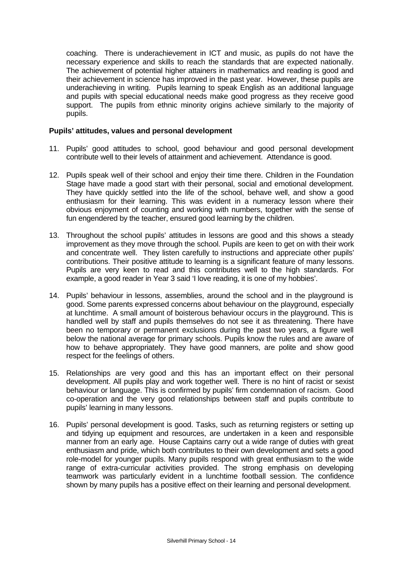coaching. There is underachievement in ICT and music, as pupils do not have the necessary experience and skills to reach the standards that are expected nationally. The achievement of potential higher attainers in mathematics and reading is good and their achievement in science has improved in the past year. However, these pupils are underachieving in writing. Pupils learning to speak English as an additional language and pupils with special educational needs make good progress as they receive good support. The pupils from ethnic minority origins achieve similarly to the majority of pupils.

#### **Pupils' attitudes, values and personal development**

- 11. Pupils' good attitudes to school, good behaviour and good personal development contribute well to their levels of attainment and achievement. Attendance is good.
- 12. Pupils speak well of their school and enjoy their time there. Children in the Foundation Stage have made a good start with their personal, social and emotional development. They have quickly settled into the life of the school, behave well, and show a good enthusiasm for their learning. This was evident in a numeracy lesson where their obvious enjoyment of counting and working with numbers, together with the sense of fun engendered by the teacher, ensured good learning by the children.
- 13. Throughout the school pupils' attitudes in lessons are good and this shows a steady improvement as they move through the school. Pupils are keen to get on with their work and concentrate well. They listen carefully to instructions and appreciate other pupils' contributions. Their positive attitude to learning is a significant feature of many lessons. Pupils are very keen to read and this contributes well to the high standards. For example, a good reader in Year 3 said 'I love reading, it is one of my hobbies'.
- 14. Pupils' behaviour in lessons, assemblies, around the school and in the playground is good. Some parents expressed concerns about behaviour on the playground, especially at lunchtime. A small amount of boisterous behaviour occurs in the playground. This is handled well by staff and pupils themselves do not see it as threatening. There have been no temporary or permanent exclusions during the past two years, a figure well below the national average for primary schools. Pupils know the rules and are aware of how to behave appropriately. They have good manners, are polite and show good respect for the feelings of others.
- 15. Relationships are very good and this has an important effect on their personal development. All pupils play and work together well. There is no hint of racist or sexist behaviour or language. This is confirmed by pupils' firm condemnation of racism. Good co-operation and the very good relationships between staff and pupils contribute to pupils' learning in many lessons.
- 16. Pupils' personal development is good. Tasks, such as returning registers or setting up and tidying up equipment and resources, are undertaken in a keen and responsible manner from an early age. House Captains carry out a wide range of duties with great enthusiasm and pride, which both contributes to their own development and sets a good role-model for younger pupils. Many pupils respond with great enthusiasm to the wide range of extra-curricular activities provided. The strong emphasis on developing teamwork was particularly evident in a lunchtime football session. The confidence shown by many pupils has a positive effect on their learning and personal development.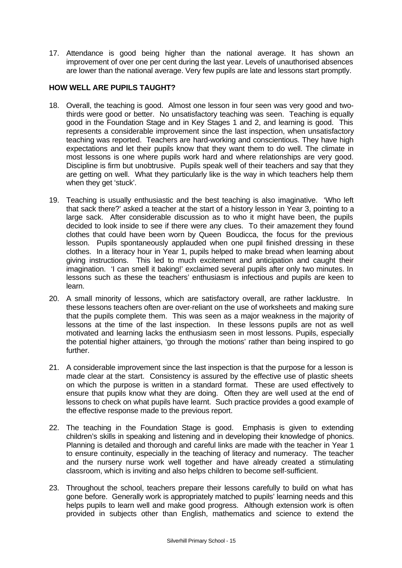17. Attendance is good being higher than the national average. It has shown an improvement of over one per cent during the last year. Levels of unauthorised absences are lower than the national average. Very few pupils are late and lessons start promptly.

#### **HOW WELL ARE PUPILS TAUGHT?**

- 18. Overall, the teaching is good. Almost one lesson in four seen was very good and twothirds were good or better. No unsatisfactory teaching was seen. Teaching is equally good in the Foundation Stage and in Key Stages 1 and 2, and learning is good. This represents a considerable improvement since the last inspection, when unsatisfactory teaching was reported. Teachers are hard-working and conscientious. They have high expectations and let their pupils know that they want them to do well. The climate in most lessons is one where pupils work hard and where relationships are very good. Discipline is firm but unobtrusive. Pupils speak well of their teachers and say that they are getting on well. What they particularly like is the way in which teachers help them when they get 'stuck'.
- 19. Teaching is usually enthusiastic and the best teaching is also imaginative. 'Who left that sack there?' asked a teacher at the start of a history lesson in Year 3, pointing to a large sack. After considerable discussion as to who it might have been, the pupils decided to look inside to see if there were any clues. To their amazement they found clothes that could have been worn by Queen Boudicca, the focus for the previous lesson. Pupils spontaneously applauded when one pupil finished dressing in these clothes. In a literacy hour in Year 1, pupils helped to make bread when learning about giving instructions. This led to much excitement and anticipation and caught their imagination. 'I can smell it baking!' exclaimed several pupils after only two minutes. In lessons such as these the teachers' enthusiasm is infectious and pupils are keen to learn.
- 20. A small minority of lessons, which are satisfactory overall, are rather lacklustre. In these lessons teachers often are over-reliant on the use of worksheets and making sure that the pupils complete them. This was seen as a major weakness in the majority of lessons at the time of the last inspection. In these lessons pupils are not as well motivated and learning lacks the enthusiasm seen in most lessons. Pupils, especially the potential higher attainers, 'go through the motions' rather than being inspired to go further.
- 21. A considerable improvement since the last inspection is that the purpose for a lesson is made clear at the start. Consistency is assured by the effective use of plastic sheets on which the purpose is written in a standard format. These are used effectively to ensure that pupils know what they are doing. Often they are well used at the end of lessons to check on what pupils have learnt. Such practice provides a good example of the effective response made to the previous report.
- 22. The teaching in the Foundation Stage is good. Emphasis is given to extending children's skills in speaking and listening and in developing their knowledge of phonics. Planning is detailed and thorough and careful links are made with the teacher in Year 1 to ensure continuity, especially in the teaching of literacy and numeracy. The teacher and the nursery nurse work well together and have already created a stimulating classroom, which is inviting and also helps children to become self-sufficient.
- 23. Throughout the school, teachers prepare their lessons carefully to build on what has gone before. Generally work is appropriately matched to pupils' learning needs and this helps pupils to learn well and make good progress. Although extension work is often provided in subjects other than English, mathematics and science to extend the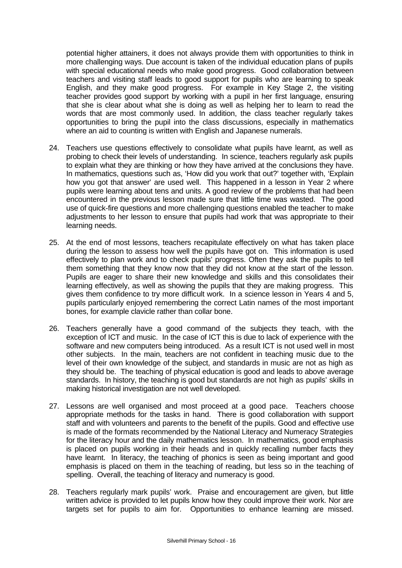potential higher attainers, it does not always provide them with opportunities to think in more challenging ways. Due account is taken of the individual education plans of pupils with special educational needs who make good progress. Good collaboration between teachers and visiting staff leads to good support for pupils who are learning to speak English, and they make good progress. For example in Key Stage 2, the visiting teacher provides good support by working with a pupil in her first language, ensuring that she is clear about what she is doing as well as helping her to learn to read the words that are most commonly used. In addition, the class teacher regularly takes opportunities to bring the pupil into the class discussions, especially in mathematics where an aid to counting is written with English and Japanese numerals.

- 24. Teachers use questions effectively to consolidate what pupils have learnt, as well as probing to check their levels of understanding. In science, teachers regularly ask pupils to explain what they are thinking or how they have arrived at the conclusions they have. In mathematics, questions such as, 'How did you work that out?' together with, 'Explain how you got that answer' are used well. This happened in a lesson in Year 2 where pupils were learning about tens and units. A good review of the problems that had been encountered in the previous lesson made sure that little time was wasted. The good use of quick-fire questions and more challenging questions enabled the teacher to make adjustments to her lesson to ensure that pupils had work that was appropriate to their learning needs.
- 25. At the end of most lessons, teachers recapitulate effectively on what has taken place during the lesson to assess how well the pupils have got on. This information is used effectively to plan work and to check pupils' progress. Often they ask the pupils to tell them something that they know now that they did not know at the start of the lesson. Pupils are eager to share their new knowledge and skills and this consolidates their learning effectively, as well as showing the pupils that they are making progress. This gives them confidence to try more difficult work. In a science lesson in Years 4 and 5, pupils particularly enjoyed remembering the correct Latin names of the most important bones, for example clavicle rather than collar bone.
- 26. Teachers generally have a good command of the subjects they teach, with the exception of ICT and music. In the case of ICT this is due to lack of experience with the software and new computers being introduced. As a result ICT is not used well in most other subjects. In the main, teachers are not confident in teaching music due to the level of their own knowledge of the subject, and standards in music are not as high as they should be. The teaching of physical education is good and leads to above average standards. In history, the teaching is good but standards are not high as pupils' skills in making historical investigation are not well developed.
- 27. Lessons are well organised and most proceed at a good pace. Teachers choose appropriate methods for the tasks in hand. There is good collaboration with support staff and with volunteers and parents to the benefit of the pupils. Good and effective use is made of the formats recommended by the National Literacy and Numeracy Strategies for the literacy hour and the daily mathematics lesson. In mathematics, good emphasis is placed on pupils working in their heads and in quickly recalling number facts they have learnt. In literacy, the teaching of phonics is seen as being important and good emphasis is placed on them in the teaching of reading, but less so in the teaching of spelling. Overall, the teaching of literacy and numeracy is good.
- 28. Teachers regularly mark pupils' work. Praise and encouragement are given, but little written advice is provided to let pupils know how they could improve their work. Nor are targets set for pupils to aim for. Opportunities to enhance learning are missed.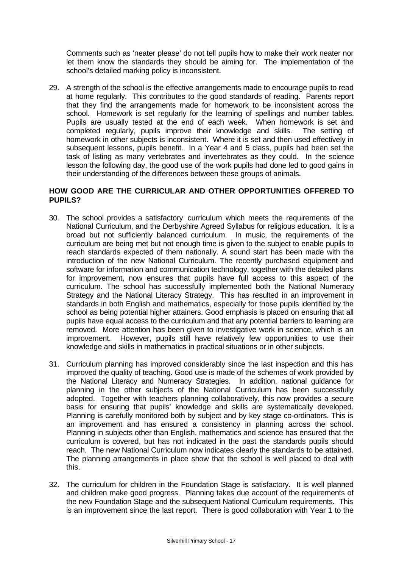Comments such as 'neater please' do not tell pupils how to make their work neater nor let them know the standards they should be aiming for. The implementation of the school's detailed marking policy is inconsistent.

29. A strength of the school is the effective arrangements made to encourage pupils to read at home regularly. This contributes to the good standards of reading. Parents report that they find the arrangements made for homework to be inconsistent across the school. Homework is set regularly for the learning of spellings and number tables. Pupils are usually tested at the end of each week. When homework is set and completed regularly, pupils improve their knowledge and skills. The setting of homework in other subjects is inconsistent. Where it is set and then used effectively in subsequent lessons, pupils benefit. In a Year 4 and 5 class, pupils had been set the task of listing as many vertebrates and invertebrates as they could. In the science lesson the following day, the good use of the work pupils had done led to good gains in their understanding of the differences between these groups of animals.

## **HOW GOOD ARE THE CURRICULAR AND OTHER OPPORTUNITIES OFFERED TO PUPILS?**

- 30. The school provides a satisfactory curriculum which meets the requirements of the National Curriculum, and the Derbyshire Agreed Syllabus for religious education. It is a broad but not sufficiently balanced curriculum. In music, the requirements of the curriculum are being met but not enough time is given to the subject to enable pupils to reach standards expected of them nationally. A sound start has been made with the introduction of the new National Curriculum. The recently purchased equipment and software for information and communication technology, together with the detailed plans for improvement, now ensures that pupils have full access to this aspect of the curriculum. The school has successfully implemented both the National Numeracy Strategy and the National Literacy Strategy. This has resulted in an improvement in standards in both English and mathematics, especially for those pupils identified by the school as being potential higher attainers. Good emphasis is placed on ensuring that all pupils have equal access to the curriculum and that any potential barriers to learning are removed. More attention has been given to investigative work in science, which is an improvement. However, pupils still have relatively few opportunities to use their knowledge and skills in mathematics in practical situations or in other subjects.
- 31. Curriculum planning has improved considerably since the last inspection and this has improved the quality of teaching. Good use is made of the schemes of work provided by the National Literacy and Numeracy Strategies. In addition, national guidance for planning in the other subjects of the National Curriculum has been successfully adopted. Together with teachers planning collaboratively, this now provides a secure basis for ensuring that pupils' knowledge and skills are systematically developed. Planning is carefully monitored both by subject and by key stage co-ordinators. This is an improvement and has ensured a consistency in planning across the school. Planning in subjects other than English, mathematics and science has ensured that the curriculum is covered, but has not indicated in the past the standards pupils should reach. The new National Curriculum now indicates clearly the standards to be attained. The planning arrangements in place show that the school is well placed to deal with this.
- 32. The curriculum for children in the Foundation Stage is satisfactory. It is well planned and children make good progress. Planning takes due account of the requirements of the new Foundation Stage and the subsequent National Curriculum requirements. This is an improvement since the last report. There is good collaboration with Year 1 to the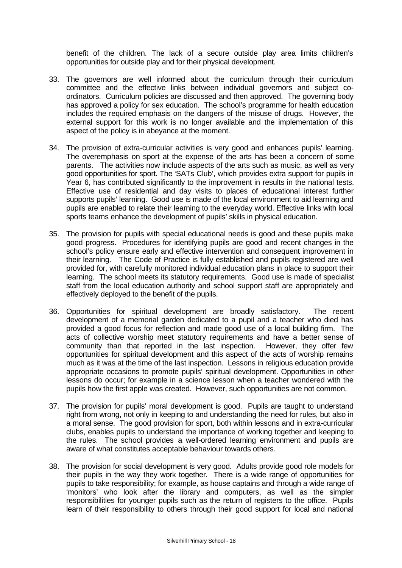benefit of the children. The lack of a secure outside play area limits children's opportunities for outside play and for their physical development.

- 33. The governors are well informed about the curriculum through their curriculum committee and the effective links between individual governors and subject coordinators. Curriculum policies are discussed and then approved. The governing body has approved a policy for sex education. The school's programme for health education includes the required emphasis on the dangers of the misuse of drugs. However, the external support for this work is no longer available and the implementation of this aspect of the policy is in abeyance at the moment.
- 34. The provision of extra-curricular activities is very good and enhances pupils' learning. The overemphasis on sport at the expense of the arts has been a concern of some parents. The activities now include aspects of the arts such as music, as well as very good opportunities for sport. The 'SATs Club', which provides extra support for pupils in Year 6, has contributed significantly to the improvement in results in the national tests. Effective use of residential and day visits to places of educational interest further supports pupils' learning. Good use is made of the local environment to aid learning and pupils are enabled to relate their learning to the everyday world. Effective links with local sports teams enhance the development of pupils' skills in physical education.
- 35. The provision for pupils with special educational needs is good and these pupils make good progress. Procedures for identifying pupils are good and recent changes in the school's policy ensure early and effective intervention and consequent improvement in their learning. The Code of Practice is fully established and pupils registered are well provided for, with carefully monitored individual education plans in place to support their learning. The school meets its statutory requirements. Good use is made of specialist staff from the local education authority and school support staff are appropriately and effectively deployed to the benefit of the pupils.
- 36. Opportunities for spiritual development are broadly satisfactory. The recent development of a memorial garden dedicated to a pupil and a teacher who died has provided a good focus for reflection and made good use of a local building firm. The acts of collective worship meet statutory requirements and have a better sense of community than that reported in the last inspection. However, they offer few opportunities for spiritual development and this aspect of the acts of worship remains much as it was at the time of the last inspection. Lessons in religious education provide appropriate occasions to promote pupils' spiritual development. Opportunities in other lessons do occur; for example in a science lesson when a teacher wondered with the pupils how the first apple was created. However, such opportunities are not common.
- 37. The provision for pupils' moral development is good. Pupils are taught to understand right from wrong, not only in keeping to and understanding the need for rules, but also in a moral sense. The good provision for sport, both within lessons and in extra-curricular clubs, enables pupils to understand the importance of working together and keeping to the rules. The school provides a well-ordered learning environment and pupils are aware of what constitutes acceptable behaviour towards others.
- 38. The provision for social development is very good. Adults provide good role models for their pupils in the way they work together. There is a wide range of opportunities for pupils to take responsibility; for example, as house captains and through a wide range of 'monitors' who look after the library and computers, as well as the simpler responsibilities for younger pupils such as the return of registers to the office. Pupils learn of their responsibility to others through their good support for local and national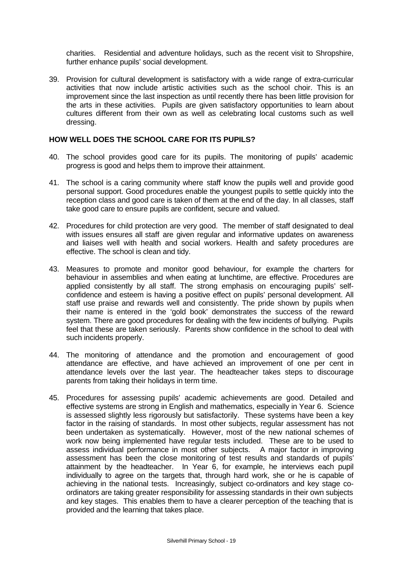charities. Residential and adventure holidays, such as the recent visit to Shropshire, further enhance pupils' social development.

39. Provision for cultural development is satisfactory with a wide range of extra-curricular activities that now include artistic activities such as the school choir. This is an improvement since the last inspection as until recently there has been little provision for the arts in these activities. Pupils are given satisfactory opportunities to learn about cultures different from their own as well as celebrating local customs such as well dressing.

#### **HOW WELL DOES THE SCHOOL CARE FOR ITS PUPILS?**

- 40. The school provides good care for its pupils. The monitoring of pupils' academic progress is good and helps them to improve their attainment.
- 41. The school is a caring community where staff know the pupils well and provide good personal support. Good procedures enable the youngest pupils to settle quickly into the reception class and good care is taken of them at the end of the day. In all classes, staff take good care to ensure pupils are confident, secure and valued.
- 42. Procedures for child protection are very good. The member of staff designated to deal with issues ensures all staff are given regular and informative updates on awareness and liaises well with health and social workers. Health and safety procedures are effective. The school is clean and tidy.
- 43. Measures to promote and monitor good behaviour, for example the charters for behaviour in assemblies and when eating at lunchtime, are effective. Procedures are applied consistently by all staff. The strong emphasis on encouraging pupils' selfconfidence and esteem is having a positive effect on pupils' personal development. All staff use praise and rewards well and consistently. The pride shown by pupils when their name is entered in the 'gold book' demonstrates the success of the reward system. There are good procedures for dealing with the few incidents of bullying. Pupils feel that these are taken seriously. Parents show confidence in the school to deal with such incidents properly.
- 44. The monitoring of attendance and the promotion and encouragement of good attendance are effective, and have achieved an improvement of one per cent in attendance levels over the last year. The headteacher takes steps to discourage parents from taking their holidays in term time.
- 45. Procedures for assessing pupils' academic achievements are good. Detailed and effective systems are strong in English and mathematics, especially in Year 6. Science is assessed slightly less rigorously but satisfactorily. These systems have been a key factor in the raising of standards. In most other subjects, regular assessment has not been undertaken as systematically. However, most of the new national schemes of work now being implemented have regular tests included. These are to be used to assess individual performance in most other subjects. A major factor in improving assessment has been the close monitoring of test results and standards of pupils' attainment by the headteacher. In Year 6, for example, he interviews each pupil individually to agree on the targets that, through hard work, she or he is capable of achieving in the national tests. Increasingly, subject co-ordinators and key stage coordinators are taking greater responsibility for assessing standards in their own subjects and key stages. This enables them to have a clearer perception of the teaching that is provided and the learning that takes place.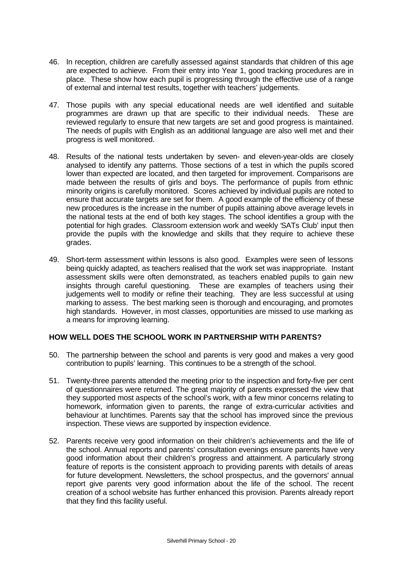- 46. In reception, children are carefully assessed against standards that children of this age are expected to achieve. From their entry into Year 1, good tracking procedures are in place. These show how each pupil is progressing through the effective use of a range of external and internal test results, together with teachers' judgements.
- 47. Those pupils with any special educational needs are well identified and suitable programmes are drawn up that are specific to their individual needs. These are reviewed regularly to ensure that new targets are set and good progress is maintained. The needs of pupils with English as an additional language are also well met and their progress is well monitored.
- 48. Results of the national tests undertaken by seven- and eleven-year-olds are closely analysed to identify any patterns. Those sections of a test in which the pupils scored lower than expected are located, and then targeted for improvement. Comparisons are made between the results of girls and boys. The performance of pupils from ethnic minority origins is carefully monitored. Scores achieved by individual pupils are noted to ensure that accurate targets are set for them. A good example of the efficiency of these new procedures is the increase in the number of pupils attaining above average levels in the national tests at the end of both key stages. The school identifies a group with the potential for high grades. Classroom extension work and weekly 'SATs Club' input then provide the pupils with the knowledge and skills that they require to achieve these grades.
- 49. Short-term assessment within lessons is also good. Examples were seen of lessons being quickly adapted, as teachers realised that the work set was inappropriate. Instant assessment skills were often demonstrated, as teachers enabled pupils to gain new insights through careful questioning. These are examples of teachers using their judgements well to modify or refine their teaching. They are less successful at using marking to assess. The best marking seen is thorough and encouraging, and promotes high standards. However, in most classes, opportunities are missed to use marking as a means for improving learning.

#### **HOW WELL DOES THE SCHOOL WORK IN PARTNERSHIP WITH PARENTS?**

- 50. The partnership between the school and parents is very good and makes a very good contribution to pupils' learning. This continues to be a strength of the school.
- 51. Twenty-three parents attended the meeting prior to the inspection and forty-five per cent of questionnaires were returned. The great majority of parents expressed the view that they supported most aspects of the school's work, with a few minor concerns relating to homework, information given to parents, the range of extra-curricular activities and behaviour at lunchtimes. Parents say that the school has improved since the previous inspection. These views are supported by inspection evidence.
- 52. Parents receive very good information on their children's achievements and the life of the school. Annual reports and parents' consultation evenings ensure parents have very good information about their children's progress and attainment. A particularly strong feature of reports is the consistent approach to providing parents with details of areas for future development. Newsletters, the school prospectus, and the governors' annual report give parents very good information about the life of the school. The recent creation of a school website has further enhanced this provision. Parents already report that they find this facility useful.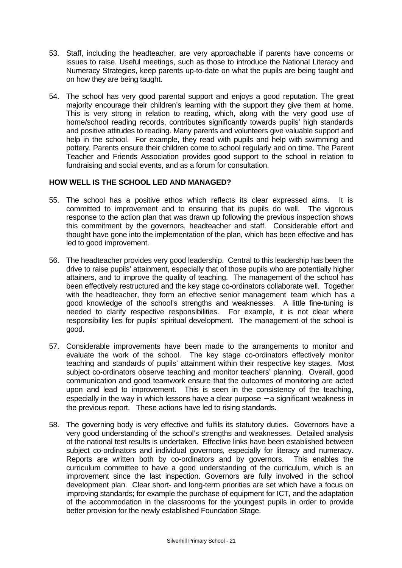- 53. Staff, including the headteacher, are very approachable if parents have concerns or issues to raise. Useful meetings, such as those to introduce the National Literacy and Numeracy Strategies, keep parents up-to-date on what the pupils are being taught and on how they are being taught.
- 54. The school has very good parental support and enjoys a good reputation. The great majority encourage their children's learning with the support they give them at home. This is very strong in relation to reading, which, along with the very good use of home/school reading records, contributes significantly towards pupils' high standards and positive attitudes to reading. Many parents and volunteers give valuable support and help in the school. For example, they read with pupils and help with swimming and pottery. Parents ensure their children come to school regularly and on time. The Parent Teacher and Friends Association provides good support to the school in relation to fundraising and social events, and as a forum for consultation.

#### **HOW WELL IS THE SCHOOL LED AND MANAGED?**

- 55. The school has a positive ethos which reflects its clear expressed aims. It is committed to improvement and to ensuring that its pupils do well. The vigorous response to the action plan that was drawn up following the previous inspection shows this commitment by the governors, headteacher and staff. Considerable effort and thought have gone into the implementation of the plan, which has been effective and has led to good improvement.
- 56. The headteacher provides very good leadership. Central to this leadership has been the drive to raise pupils' attainment, especially that of those pupils who are potentially higher attainers, and to improve the quality of teaching. The management of the school has been effectively restructured and the key stage co-ordinators collaborate well. Together with the headteacher, they form an effective senior management team which has a good knowledge of the school's strengths and weaknesses. A little fine-tuning is needed to clarify respective responsibilities. For example, it is not clear where responsibility lies for pupils' spiritual development. The management of the school is good.
- 57. Considerable improvements have been made to the arrangements to monitor and evaluate the work of the school. The key stage co-ordinators effectively monitor teaching and standards of pupils' attainment within their respective key stages. Most subject co-ordinators observe teaching and monitor teachers' planning. Overall, good communication and good teamwork ensure that the outcomes of monitoring are acted upon and lead to improvement. This is seen in the consistency of the teaching, especially in the way in which lessons have a clear purpose – a significant weakness in the previous report. These actions have led to rising standards.
- 58. The governing body is very effective and fulfils its statutory duties. Governors have a very good understanding of the school's strengths and weaknesses. Detailed analysis of the national test results is undertaken. Effective links have been established between subject co-ordinators and individual governors, especially for literacy and numeracy. Reports are written both by co-ordinators and by governors. This enables the curriculum committee to have a good understanding of the curriculum, which is an improvement since the last inspection. Governors are fully involved in the school development plan. Clear short- and long-term priorities are set which have a focus on improving standards; for example the purchase of equipment for ICT, and the adaptation of the accommodation in the classrooms for the youngest pupils in order to provide better provision for the newly established Foundation Stage.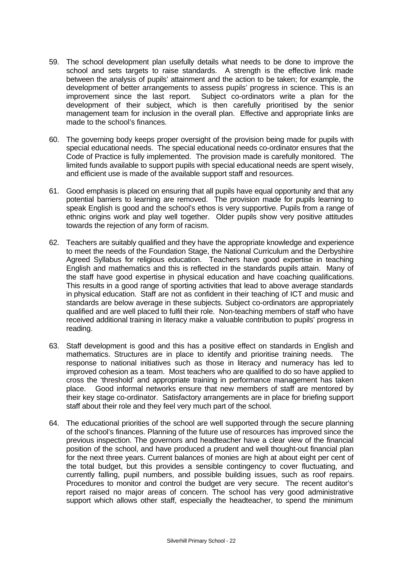- 59. The school development plan usefully details what needs to be done to improve the school and sets targets to raise standards. A strength is the effective link made between the analysis of pupils' attainment and the action to be taken; for example, the development of better arrangements to assess pupils' progress in science. This is an improvement since the last report. Subject co-ordinators write a plan for the development of their subject, which is then carefully prioritised by the senior management team for inclusion in the overall plan. Effective and appropriate links are made to the school's finances.
- 60. The governing body keeps proper oversight of the provision being made for pupils with special educational needs. The special educational needs co-ordinator ensures that the Code of Practice is fully implemented. The provision made is carefully monitored. The limited funds available to support pupils with special educational needs are spent wisely, and efficient use is made of the available support staff and resources.
- 61. Good emphasis is placed on ensuring that all pupils have equal opportunity and that any potential barriers to learning are removed. The provision made for pupils learning to speak English is good and the school's ethos is very supportive. Pupils from a range of ethnic origins work and play well together. Older pupils show very positive attitudes towards the rejection of any form of racism.
- 62. Teachers are suitably qualified and they have the appropriate knowledge and experience to meet the needs of the Foundation Stage, the National Curriculum and the Derbyshire Agreed Syllabus for religious education. Teachers have good expertise in teaching English and mathematics and this is reflected in the standards pupils attain. Many of the staff have good expertise in physical education and have coaching qualifications. This results in a good range of sporting activities that lead to above average standards in physical education. Staff are not as confident in their teaching of ICT and music and standards are below average in these subjects. Subject co-ordinators are appropriately qualified and are well placed to fulfil their role. Non-teaching members of staff who have received additional training in literacy make a valuable contribution to pupils' progress in reading.
- 63. Staff development is good and this has a positive effect on standards in English and mathematics. Structures are in place to identify and prioritise training needs. The response to national initiatives such as those in literacy and numeracy has led to improved cohesion as a team. Most teachers who are qualified to do so have applied to cross the 'threshold' and appropriate training in performance management has taken place. Good informal networks ensure that new members of staff are mentored by their key stage co-ordinator. Satisfactory arrangements are in place for briefing support staff about their role and they feel very much part of the school.
- 64. The educational priorities of the school are well supported through the secure planning of the school's finances. Planning of the future use of resources has improved since the previous inspection. The governors and headteacher have a clear view of the financial position of the school, and have produced a prudent and well thought-out financial plan for the next three years. Current balances of monies are high at about eight per cent of the total budget, but this provides a sensible contingency to cover fluctuating, and currently falling, pupil numbers, and possible building issues, such as roof repairs. Procedures to monitor and control the budget are very secure. The recent auditor's report raised no major areas of concern. The school has very good administrative support which allows other staff, especially the headteacher, to spend the minimum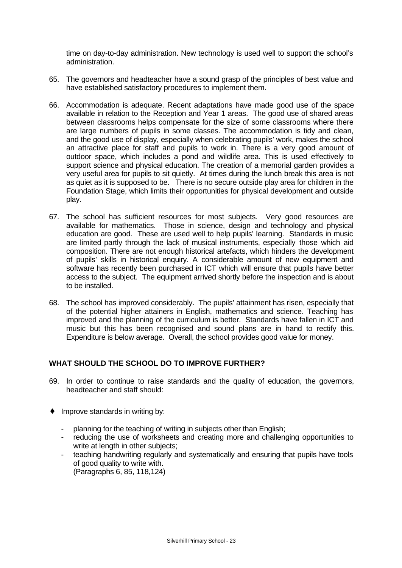time on day-to-day administration. New technology is used well to support the school's administration.

- 65. The governors and headteacher have a sound grasp of the principles of best value and have established satisfactory procedures to implement them.
- 66. Accommodation is adequate. Recent adaptations have made good use of the space available in relation to the Reception and Year 1 areas. The good use of shared areas between classrooms helps compensate for the size of some classrooms where there are large numbers of pupils in some classes. The accommodation is tidy and clean, and the good use of display, especially when celebrating pupils' work, makes the school an attractive place for staff and pupils to work in. There is a very good amount of outdoor space, which includes a pond and wildlife area. This is used effectively to support science and physical education. The creation of a memorial garden provides a very useful area for pupils to sit quietly. At times during the lunch break this area is not as quiet as it is supposed to be. There is no secure outside play area for children in the Foundation Stage, which limits their opportunities for physical development and outside play.
- 67. The school has sufficient resources for most subjects. Very good resources are available for mathematics. Those in science, design and technology and physical education are good. These are used well to help pupils' learning. Standards in music are limited partly through the lack of musical instruments, especially those which aid composition. There are not enough historical artefacts, which hinders the development of pupils' skills in historical enquiry. A considerable amount of new equipment and software has recently been purchased in ICT which will ensure that pupils have better access to the subject. The equipment arrived shortly before the inspection and is about to be installed.
- 68. The school has improved considerably. The pupils' attainment has risen, especially that of the potential higher attainers in English, mathematics and science. Teaching has improved and the planning of the curriculum is better. Standards have fallen in ICT and music but this has been recognised and sound plans are in hand to rectify this. Expenditure is below average. Overall, the school provides good value for money.

#### **WHAT SHOULD THE SCHOOL DO TO IMPROVE FURTHER?**

- 69. In order to continue to raise standards and the quality of education, the governors, headteacher and staff should:
- ♦ Improve standards in writing by:
	- planning for the teaching of writing in subjects other than English;
	- reducing the use of worksheets and creating more and challenging opportunities to write at length in other subjects;
	- teaching handwriting regularly and systematically and ensuring that pupils have tools of good quality to write with. (Paragraphs 6, 85, 118,124)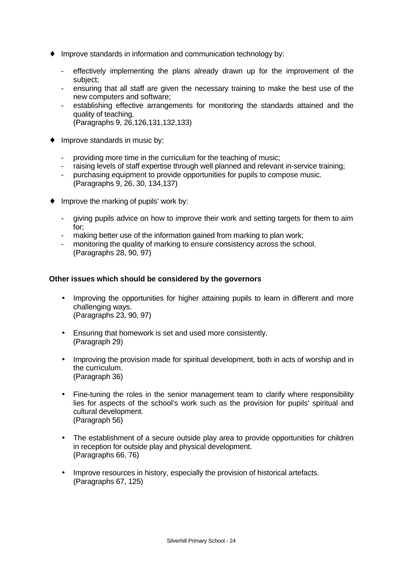- ♦ Improve standards in information and communication technology by:
	- effectively implementing the plans already drawn up for the improvement of the subject;
	- ensuring that all staff are given the necessary training to make the best use of the new computers and software;
	- establishing effective arrangements for monitoring the standards attained and the quality of teaching. (Paragraphs 9, 26,126,131,132,133)
- ♦ Improve standards in music by:
	- providing more time in the curriculum for the teaching of music;
	- raising levels of staff expertise through well planned and relevant in-service training;
	- purchasing equipment to provide opportunities for pupils to compose music. (Paragraphs 9, 26, 30, 134,137)
- ♦ Improve the marking of pupils' work by:
	- giving pupils advice on how to improve their work and setting targets for them to aim for;
	- making better use of the information gained from marking to plan work;
	- monitoring the quality of marking to ensure consistency across the school. (Paragraphs 28, 90, 97)

#### **Other issues which should be considered by the governors**

- Improving the opportunities for higher attaining pupils to learn in different and more challenging ways. (Paragraphs 23, 90, 97)
- Ensuring that homework is set and used more consistently. (Paragraph 29)
- Improving the provision made for spiritual development, both in acts of worship and in the curriculum. (Paragraph 36)
- Fine-tuning the roles in the senior management team to clarify where responsibility lies for aspects of the school's work such as the provision for pupils' spiritual and cultural development. (Paragraph 56)
- The establishment of a secure outside play area to provide opportunities for children in reception for outside play and physical development. (Paragraphs 66, 76)
- Improve resources in history, especially the provision of historical artefacts. (Paragraphs 67, 125)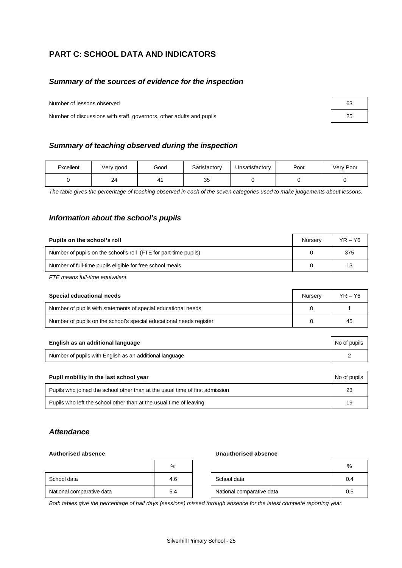## **PART C: SCHOOL DATA AND INDICATORS**

#### *Summary of the sources of evidence for the inspection*

Number of lessons observed

Number of discussions with staff, governors, other adults and pupils

|  |  | Summary of teaching observed during the inspection |
|--|--|----------------------------------------------------|
|  |  |                                                    |

| Excellent | Very good | Good | Satisfactory | Unsatisfactory | Poor | Very Poor |
|-----------|-----------|------|--------------|----------------|------|-----------|
|           | 24        | 4    | つに<br>⊽⊽     |                |      |           |

*The table gives the percentage of teaching observed in each of the seven categories used to make judgements about lessons.*

#### *Information about the school's pupils*

| Pupils on the school's roll                                      | Nurserv | $YR - Y6$ |
|------------------------------------------------------------------|---------|-----------|
| Number of pupils on the school's roll (FTE for part-time pupils) |         | 375       |
| Number of full-time pupils eligible for free school meals        |         | 13        |

*FTE means full-time equivalent.*

| Special educational needs                                           | Nurserv | $YR - Y6$ |
|---------------------------------------------------------------------|---------|-----------|
| Number of pupils with statements of special educational needs       |         |           |
| Number of pupils on the school's special educational needs register |         | 45        |

| English as an additional language                       | No of pupils |
|---------------------------------------------------------|--------------|
| Number of pupils with English as an additional language |              |

| Pupil mobility in the last school year                                       | No of pupils |
|------------------------------------------------------------------------------|--------------|
| Pupils who joined the school other than at the usual time of first admission | 23           |
| Pupils who left the school other than at the usual time of leaving           | 19           |

#### *Attendance*

#### **Authorised absence Unauthorised absence**

|                           | %   |                           | %   |
|---------------------------|-----|---------------------------|-----|
| School data               | 4.6 | School data               | 0.4 |
| National comparative data | 5.4 | National comparative data | 0.5 |

*Both tables give the percentage of half days (sessions) missed through absence for the latest complete reporting year.*

| 63 |  |
|----|--|
| 25 |  |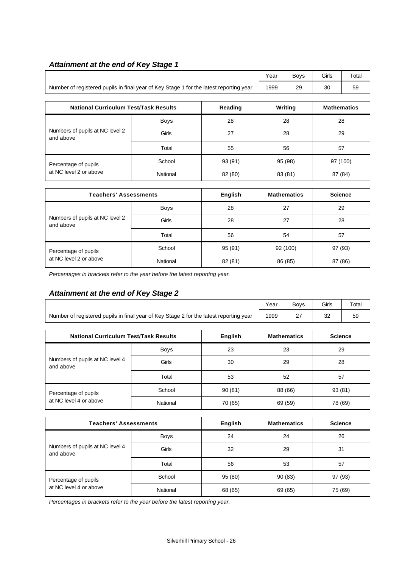## *Attainment at the end of Key Stage 1*

|                                                                                        | Year | Bovs | Girls | Total |
|----------------------------------------------------------------------------------------|------|------|-------|-------|
| Number of registered pupils in final year of Key Stage 1 for the latest reporting year | 1999 | 29   | 30    | 59    |

| <b>National Curriculum Test/Task Results</b> |             | Reading | Writing | <b>Mathematics</b> |
|----------------------------------------------|-------------|---------|---------|--------------------|
|                                              | <b>Boys</b> | 28      | 28      | 28                 |
| Numbers of pupils at NC level 2<br>and above | Girls       | 27      | 28      | 29                 |
|                                              | Total       | 55      | 56      | 57                 |
| Percentage of pupils                         | School      | 93 (91) | 95 (98) | 97 (100)           |
| at NC level 2 or above                       | National    | 82 (80) | 83 (81) | 87 (84)            |

| <b>Teachers' Assessments</b>                 |             | English | <b>Mathematics</b> | <b>Science</b> |
|----------------------------------------------|-------------|---------|--------------------|----------------|
| Numbers of pupils at NC level 2<br>and above | <b>Boys</b> | 28      | 27                 | 29             |
|                                              | Girls       | 28      | 27                 | 28             |
|                                              | Total       | 56      | 54                 | 57             |
| Percentage of pupils                         | School      | 95(91)  | 92 (100)           | 97 (93)        |
| at NC level 2 or above                       | National    | 82 (81) | 86 (85)            | 87 (86)        |

*Percentages in brackets refer to the year before the latest reporting year.*

# *Attainment at the end of Key Stage 2*

|                                                                                        | Year        | <b>Boys</b>    | Girls    | Total              |                |  |
|----------------------------------------------------------------------------------------|-------------|----------------|----------|--------------------|----------------|--|
| Number of registered pupils in final year of Key Stage 2 for the latest reporting year | 1999        | 27             | 32       | 59                 |                |  |
| <b>National Curriculum Test/Task Results</b>                                           |             | <b>English</b> |          | <b>Mathematics</b> | <b>Science</b> |  |
|                                                                                        |             |                |          |                    |                |  |
| Numbers of pupils at NC level 4<br>and above                                           | <b>Boys</b> | 23             | 23       |                    | 29             |  |
|                                                                                        | Girls       | 30             | 29       |                    | 28             |  |
|                                                                                        | Total       | 53             | 52<br>57 |                    |                |  |
| Percentage of pupils<br>at NC level 4 or above                                         | School      | 90(81)         |          | 88 (66)            | 93 (81)        |  |
|                                                                                        | National    | 70 (65)        |          | 69 (59)            | 78 (69)        |  |

| <b>Teachers' Assessments</b>                 |             | English | <b>Mathematics</b> | <b>Science</b> |
|----------------------------------------------|-------------|---------|--------------------|----------------|
|                                              | <b>Boys</b> | 24      | 24                 | 26             |
| Numbers of pupils at NC level 4<br>and above | Girls       | 32      | 29                 | 31             |
|                                              | Total       | 56      | 53                 | 57             |
| Percentage of pupils                         | School      | 95(80)  | 90(83)             | 97 (93)        |
| at NC level 4 or above                       | National    | 68 (65) | 69 (65)            | 75 (69)        |

*Percentages in brackets refer to the year before the latest reporting year.*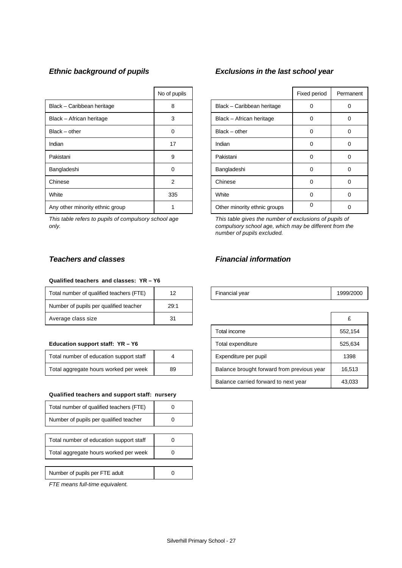|                                 | No of pupils |                              | Fixed period | Perma    |
|---------------------------------|--------------|------------------------------|--------------|----------|
| Black - Caribbean heritage      | 8            | Black - Caribbean heritage   | 0            | 0        |
| Black - African heritage        | 3            | Black - African heritage     | 0            | 0        |
| $Black - other$                 | 0            | $Black - other$              | 0            | 0        |
| Indian                          | 17           | Indian                       | 0            | 0        |
| Pakistani                       | 9            | Pakistani                    | 0            | $\Omega$ |
| Bangladeshi                     | 0            | Bangladeshi                  | 0            | 0        |
| Chinese                         | 2            | Chinese                      | 0            | 0        |
| White                           | 335          | White                        | 0            | 0        |
| Any other minority ethnic group |              | Other minority ethnic groups | 0            | 0        |

*This table refers to pupils of compulsory school age only.*

# *Ethnic background of pupils Exclusions in the last school year*

| No of pupils |                              | Fixed period | Permanent |
|--------------|------------------------------|--------------|-----------|
| 8            | Black - Caribbean heritage   | Ω            |           |
| 3            | Black - African heritage     | 0            | O         |
| ∩            | $Black - other$              | 0            | 0         |
| 17           | Indian                       | 0            |           |
| 9            | Pakistani                    | 0            |           |
| 0            | Bangladeshi                  | 0            | U         |
| 2            | Chinese                      | 0            | 0         |
| 335          | White                        | 0            | ŋ         |
|              | Other minority ethnic groups | $\Omega$     |           |

*This table gives the number of exclusions of pupils of compulsory school age, which may be different from the number of pupils excluded.*

#### **Qualified teachers and classes: YR – Y6**

| Total number of qualified teachers (FTE) | 12   | Financial year | 1999/ |
|------------------------------------------|------|----------------|-------|
| Number of pupils per qualified teacher   | 29:1 |                |       |
| Average class size                       | 31   |                |       |

#### Education support staff: YR - Y6

| Total number of education support staff |    |
|-----------------------------------------|----|
| Total aggregate hours worked per week   | 89 |

#### **Qualified teachers and support staff: nursery**

| Total number of qualified teachers (FTE) |  |
|------------------------------------------|--|
| Number of pupils per qualified teacher   |  |
|                                          |  |
| Total number of education support staff  |  |
| Total aggregate hours worked per week    |  |
|                                          |  |
| Number of pupils per FTE adult           |  |

*FTE means full-time equivalent.*

## *Teachers and classes Financial information*

| Total number of qualified teachers (<br>(F F) |  | Financial vear | 2000 |
|-----------------------------------------------|--|----------------|------|
|-----------------------------------------------|--|----------------|------|

| Average class size                           | 31 |                       |                                            |         |
|----------------------------------------------|----|-----------------------|--------------------------------------------|---------|
|                                              |    |                       | Total income                               | 552,154 |
| Education support staff: YR - Y6             |    |                       | Total expenditure                          | 525,634 |
| Total number of education support staff<br>4 |    | Expenditure per pupil | 1398                                       |         |
| Total aggregate hours worked per week<br>89  |    |                       | Balance brought forward from previous year | 16.513  |
|                                              |    |                       | Balance carried forward to next year       | 43,033  |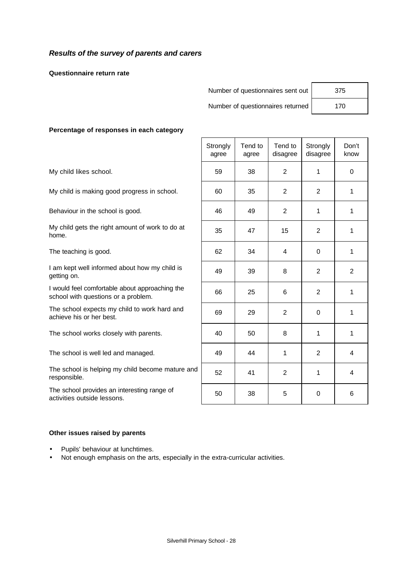### *Results of the survey of parents and carers*

**Questionnaire return rate**

| Number of questionnaires sent out | 375 |
|-----------------------------------|-----|
|                                   |     |

Number of questionnaires returned | 170

#### **Percentage of responses in each category**

The school provides an interesting range of activities outside lessons.

|                                                                                       | Strongly<br>agree | Tend to<br>agree | Tend to<br>disagree | Strongly<br>disagree | Don't<br>know  |
|---------------------------------------------------------------------------------------|-------------------|------------------|---------------------|----------------------|----------------|
| My child likes school.                                                                | 59                | 38               | $\overline{2}$      | 1                    | $\Omega$       |
| My child is making good progress in school.                                           | 60                | 35               | $\overline{2}$      | $\overline{2}$       | 1              |
| Behaviour in the school is good.                                                      | 46                | 49               | $\overline{2}$      | 1                    | 1              |
| My child gets the right amount of work to do at<br>home.                              | 35                | 47               | 15                  | 2                    | 1              |
| The teaching is good.                                                                 | 62                | 34               | 4                   | $\mathbf 0$          | $\mathbf{1}$   |
| I am kept well informed about how my child is<br>getting on.                          | 49                | 39               | 8                   | 2                    | $\overline{2}$ |
| I would feel comfortable about approaching the<br>school with questions or a problem. | 66                | 25               | 6                   | $\overline{2}$       | 1              |
| The school expects my child to work hard and<br>achieve his or her best.              | 69                | 29               | $\overline{2}$      | 0                    | 1              |
| The school works closely with parents.                                                | 40                | 50               | 8                   | 1                    | 1              |
| The school is well led and managed.                                                   | 49                | 44               | 1                   | $\overline{2}$       | 4              |
| The school is helping my child become mature and<br>responsible.                      | 52                | 41               | $\overline{2}$      | 1                    | 4              |
| The school provides an interesting range of<br>activities outside lessons.            | 50                | 38               | 5                   | $\Omega$             | 6              |

#### **Other issues raised by parents**

- Pupils' behaviour at lunchtimes.
- Not enough emphasis on the arts, especially in the extra-curricular activities.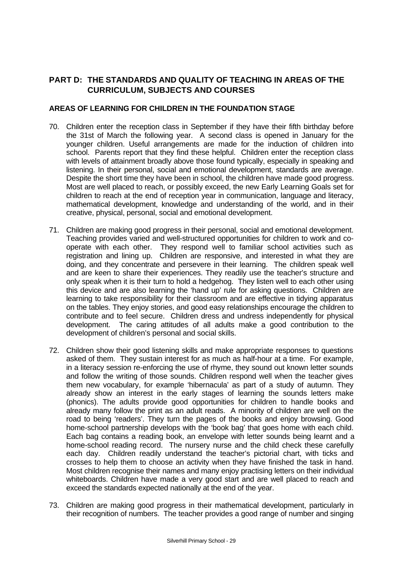## **PART D: THE STANDARDS AND QUALITY OF TEACHING IN AREAS OF THE CURRICULUM, SUBJECTS AND COURSES**

#### **AREAS OF LEARNING FOR CHILDREN IN THE FOUNDATION STAGE**

- 70. Children enter the reception class in September if they have their fifth birthday before the 31st of March the following year. A second class is opened in January for the younger children. Useful arrangements are made for the induction of children into school. Parents report that they find these helpful. Children enter the reception class with levels of attainment broadly above those found typically, especially in speaking and listening. In their personal, social and emotional development, standards are average. Despite the short time they have been in school, the children have made good progress. Most are well placed to reach, or possibly exceed, the new Early Learning Goals set for children to reach at the end of reception year in communication, language and literacy, mathematical development, knowledge and understanding of the world, and in their creative, physical, personal, social and emotional development.
- 71. Children are making good progress in their personal, social and emotional development. Teaching provides varied and well-structured opportunities for children to work and cooperate with each other. They respond well to familiar school activities such as registration and lining up. Children are responsive, and interested in what they are doing, and they concentrate and persevere in their learning. The children speak well and are keen to share their experiences. They readily use the teacher's structure and only speak when it is their turn to hold a hedgehog. They listen well to each other using this device and are also learning the 'hand up' rule for asking questions. Children are learning to take responsibility for their classroom and are effective in tidying apparatus on the tables. They enjoy stories, and good easy relationships encourage the children to contribute and to feel secure. Children dress and undress independently for physical development. The caring attitudes of all adults make a good contribution to the development of children's personal and social skills.
- 72. Children show their good listening skills and make appropriate responses to questions asked of them. They sustain interest for as much as half-hour at a time. For example, in a literacy session re-enforcing the use of rhyme, they sound out known letter sounds and follow the writing of those sounds. Children respond well when the teacher gives them new vocabulary, for example 'hibernacula' as part of a study of autumn. They already show an interest in the early stages of learning the sounds letters make (phonics). The adults provide good opportunities for children to handle books and already many follow the print as an adult reads. A minority of children are well on the road to being 'readers'. They turn the pages of the books and enjoy browsing. Good home-school partnership develops with the 'book bag' that goes home with each child. Each bag contains a reading book, an envelope with letter sounds being learnt and a home-school reading record. The nursery nurse and the child check these carefully each day. Children readily understand the teacher's pictorial chart, with ticks and crosses to help them to choose an activity when they have finished the task in hand. Most children recognise their names and many enjoy practising letters on their individual whiteboards. Children have made a very good start and are well placed to reach and exceed the standards expected nationally at the end of the year.
- 73. Children are making good progress in their mathematical development, particularly in their recognition of numbers. The teacher provides a good range of number and singing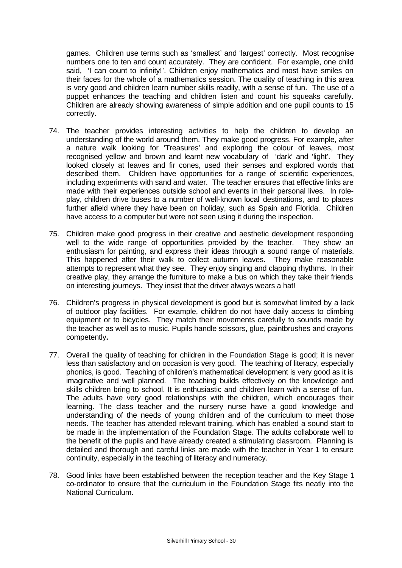games. Children use terms such as 'smallest' and 'largest' correctly. Most recognise numbers one to ten and count accurately. They are confident. For example, one child said, 'I can count to infinity!'. Children enjoy mathematics and most have smiles on their faces for the whole of a mathematics session. The quality of teaching in this area is very good and children learn number skills readily, with a sense of fun. The use of a puppet enhances the teaching and children listen and count his squeaks carefully. Children are already showing awareness of simple addition and one pupil counts to 15 correctly.

- 74. The teacher provides interesting activities to help the children to develop an understanding of the world around them. They make good progress. For example, after a nature walk looking for 'Treasures' and exploring the colour of leaves, most recognised yellow and brown and learnt new vocabulary of 'dark' and 'light'. They looked closely at leaves and fir cones, used their senses and explored words that described them. Children have opportunities for a range of scientific experiences, including experiments with sand and water. The teacher ensures that effective links are made with their experiences outside school and events in their personal lives. In roleplay, children drive buses to a number of well-known local destinations, and to places further afield where they have been on holiday, such as Spain and Florida. Children have access to a computer but were not seen using it during the inspection.
- 75. Children make good progress in their creative and aesthetic development responding well to the wide range of opportunities provided by the teacher. They show an enthusiasm for painting, and express their ideas through a sound range of materials. This happened after their walk to collect autumn leaves. They make reasonable attempts to represent what they see. They enjoy singing and clapping rhythms. In their creative play, they arrange the furniture to make a bus on which they take their friends on interesting journeys. They insist that the driver always wears a hat!
- 76. Children's progress in physical development is good but is somewhat limited by a lack of outdoor play facilities. For example, children do not have daily access to climbing equipment or to bicycles. They match their movements carefully to sounds made by the teacher as well as to music. Pupils handle scissors, glue, paintbrushes and crayons competently**.**
- 77. Overall the quality of teaching for children in the Foundation Stage is good; it is never less than satisfactory and on occasion is very good. The teaching of literacy, especially phonics, is good. Teaching of children's mathematical development is very good as it is imaginative and well planned. The teaching builds effectively on the knowledge and skills children bring to school. It is enthusiastic and children learn with a sense of fun. The adults have very good relationships with the children, which encourages their learning. The class teacher and the nursery nurse have a good knowledge and understanding of the needs of young children and of the curriculum to meet those needs. The teacher has attended relevant training, which has enabled a sound start to be made in the implementation of the Foundation Stage. The adults collaborate well to the benefit of the pupils and have already created a stimulating classroom. Planning is detailed and thorough and careful links are made with the teacher in Year 1 to ensure continuity, especially in the teaching of literacy and numeracy.
- 78. Good links have been established between the reception teacher and the Key Stage 1 co-ordinator to ensure that the curriculum in the Foundation Stage fits neatly into the National Curriculum.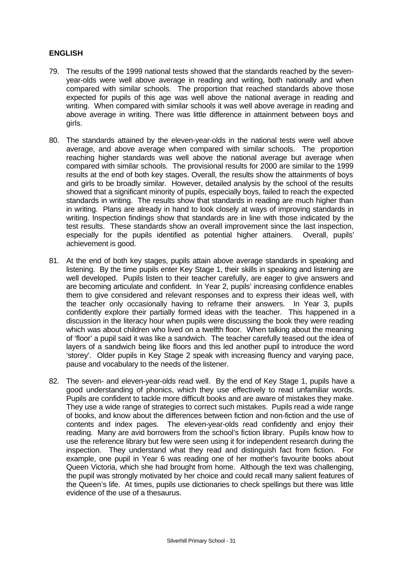## **ENGLISH**

- 79. The results of the 1999 national tests showed that the standards reached by the sevenyear-olds were well above average in reading and writing, both nationally and when compared with similar schools. The proportion that reached standards above those expected for pupils of this age was well above the national average in reading and writing. When compared with similar schools it was well above average in reading and above average in writing. There was little difference in attainment between boys and girls.
- 80. The standards attained by the eleven-year-olds in the national tests were well above average, and above average when compared with similar schools. The proportion reaching higher standards was well above the national average but average when compared with similar schools. The provisional results for 2000 are similar to the 1999 results at the end of both key stages. Overall, the results show the attainments of boys and girls to be broadly similar. However, detailed analysis by the school of the results showed that a significant minority of pupils, especially boys, failed to reach the expected standards in writing. The results show that standards in reading are much higher than in writing. Plans are already in hand to look closely at ways of improving standards in writing. Inspection findings show that standards are in line with those indicated by the test results. These standards show an overall improvement since the last inspection, especially for the pupils identified as potential higher attainers. Overall, pupils' achievement is good.
- 81. At the end of both key stages, pupils attain above average standards in speaking and listening. By the time pupils enter Key Stage 1, their skills in speaking and listening are well developed. Pupils listen to their teacher carefully, are eager to give answers and are becoming articulate and confident. In Year 2, pupils' increasing confidence enables them to give considered and relevant responses and to express their ideas well, with the teacher only occasionally having to reframe their answers. In Year 3, pupils confidently explore their partially formed ideas with the teacher. This happened in a discussion in the literacy hour when pupils were discussing the book they were reading which was about children who lived on a twelfth floor. When talking about the meaning of 'floor' a pupil said it was like a sandwich. The teacher carefully teased out the idea of layers of a sandwich being like floors and this led another pupil to introduce the word 'storey'. Older pupils in Key Stage 2 speak with increasing fluency and varying pace, pause and vocabulary to the needs of the listener.
- 82. The seven- and eleven-year-olds read well. By the end of Key Stage 1, pupils have a good understanding of phonics, which they use effectively to read unfamiliar words. Pupils are confident to tackle more difficult books and are aware of mistakes they make. They use a wide range of strategies to correct such mistakes. Pupils read a wide range of books, and know about the differences between fiction and non-fiction and the use of contents and index pages. The eleven-year-olds read confidently and enjoy their reading. Many are avid borrowers from the school's fiction library. Pupils know how to use the reference library but few were seen using it for independent research during the inspection. They understand what they read and distinguish fact from fiction. For example, one pupil in Year 6 was reading one of her mother's favourite books about Queen Victoria, which she had brought from home. Although the text was challenging, the pupil was strongly motivated by her choice and could recall many salient features of the Queen's life. At times, pupils use dictionaries to check spellings but there was little evidence of the use of a thesaurus.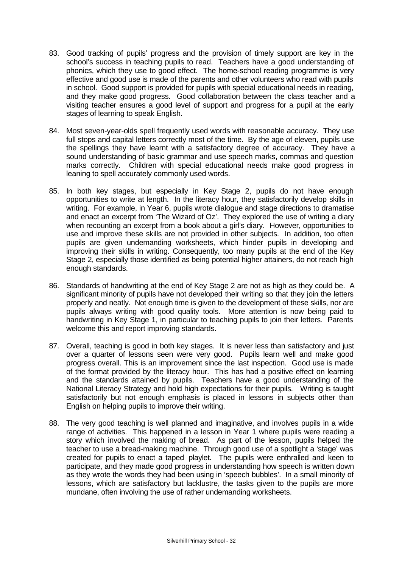- 83. Good tracking of pupils' progress and the provision of timely support are key in the school's success in teaching pupils to read. Teachers have a good understanding of phonics, which they use to good effect. The home-school reading programme is very effective and good use is made of the parents and other volunteers who read with pupils in school. Good support is provided for pupils with special educational needs in reading, and they make good progress. Good collaboration between the class teacher and a visiting teacher ensures a good level of support and progress for a pupil at the early stages of learning to speak English.
- 84. Most seven-year-olds spell frequently used words with reasonable accuracy. They use full stops and capital letters correctly most of the time. By the age of eleven, pupils use the spellings they have learnt with a satisfactory degree of accuracy. They have a sound understanding of basic grammar and use speech marks, commas and question marks correctly. Children with special educational needs make good progress in leaning to spell accurately commonly used words.
- 85. In both key stages, but especially in Key Stage 2, pupils do not have enough opportunities to write at length. In the literacy hour, they satisfactorily develop skills in writing. For example, in Year 6, pupils wrote dialogue and stage directions to dramatise and enact an excerpt from 'The Wizard of Oz'. They explored the use of writing a diary when recounting an excerpt from a book about a girl's diary. However, opportunities to use and improve these skills are not provided in other subjects. In addition, too often pupils are given undemanding worksheets, which hinder pupils in developing and improving their skills in writing. Consequently, too many pupils at the end of the Key Stage 2, especially those identified as being potential higher attainers, do not reach high enough standards.
- 86. Standards of handwriting at the end of Key Stage 2 are not as high as they could be. A significant minority of pupils have not developed their writing so that they join the letters properly and neatly. Not enough time is given to the development of these skills, nor are pupils always writing with good quality tools. More attention is now being paid to handwriting in Key Stage 1, in particular to teaching pupils to join their letters. Parents welcome this and report improving standards.
- 87. Overall, teaching is good in both key stages. It is never less than satisfactory and just over a quarter of lessons seen were very good. Pupils learn well and make good progress overall. This is an improvement since the last inspection. Good use is made of the format provided by the literacy hour. This has had a positive effect on learning and the standards attained by pupils. Teachers have a good understanding of the National Literacy Strategy and hold high expectations for their pupils. Writing is taught satisfactorily but not enough emphasis is placed in lessons in subjects other than English on helping pupils to improve their writing.
- 88. The very good teaching is well planned and imaginative, and involves pupils in a wide range of activities. This happened in a lesson in Year 1 where pupils were reading a story which involved the making of bread. As part of the lesson, pupils helped the teacher to use a bread-making machine. Through good use of a spotlight a 'stage' was created for pupils to enact a taped playlet. The pupils were enthralled and keen to participate, and they made good progress in understanding how speech is written down as they wrote the words they had been using in 'speech bubbles'. In a small minority of lessons, which are satisfactory but lacklustre, the tasks given to the pupils are more mundane, often involving the use of rather undemanding worksheets.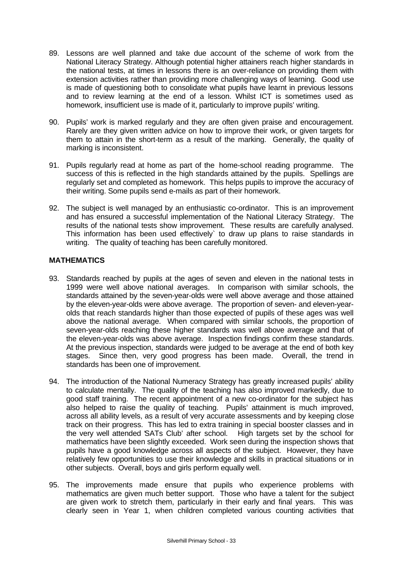- 89. Lessons are well planned and take due account of the scheme of work from the National Literacy Strategy. Although potential higher attainers reach higher standards in the national tests, at times in lessons there is an over-reliance on providing them with extension activities rather than providing more challenging ways of learning. Good use is made of questioning both to consolidate what pupils have learnt in previous lessons and to review learning at the end of a lesson. Whilst ICT is sometimes used as homework, insufficient use is made of it, particularly to improve pupils' writing.
- 90. Pupils' work is marked regularly and they are often given praise and encouragement. Rarely are they given written advice on how to improve their work, or given targets for them to attain in the short-term as a result of the marking. Generally, the quality of marking is inconsistent.
- 91. Pupils regularly read at home as part of the home-school reading programme. The success of this is reflected in the high standards attained by the pupils. Spellings are regularly set and completed as homework. This helps pupils to improve the accuracy of their writing. Some pupils send e-mails as part of their homework.
- 92. The subject is well managed by an enthusiastic co-ordinator. This is an improvement and has ensured a successful implementation of the National Literacy Strategy. The results of the national tests show improvement. These results are carefully analysed. This information has been used effectively` to draw up plans to raise standards in writing. The quality of teaching has been carefully monitored.

## **MATHEMATICS**

- 93. Standards reached by pupils at the ages of seven and eleven in the national tests in 1999 were well above national averages. In comparison with similar schools, the standards attained by the seven-year-olds were well above average and those attained by the eleven-year-olds were above average. The proportion of seven- and eleven-yearolds that reach standards higher than those expected of pupils of these ages was well above the national average. When compared with similar schools, the proportion of seven-year-olds reaching these higher standards was well above average and that of the eleven-year-olds was above average. Inspection findings confirm these standards. At the previous inspection, standards were judged to be average at the end of both key stages. Since then, very good progress has been made. Overall, the trend in standards has been one of improvement.
- 94. The introduction of the National Numeracy Strategy has greatly increased pupils' ability to calculate mentally. The quality of the teaching has also improved markedly, due to good staff training. The recent appointment of a new co-ordinator for the subject has also helped to raise the quality of teaching. Pupils' attainment is much improved, across all ability levels, as a result of very accurate assessments and by keeping close track on their progress. This has led to extra training in special booster classes and in the very well attended 'SATs Club' after school. High targets set by the school for mathematics have been slightly exceeded. Work seen during the inspection shows that pupils have a good knowledge across all aspects of the subject. However, they have relatively few opportunities to use their knowledge and skills in practical situations or in other subjects. Overall, boys and girls perform equally well.
- 95. The improvements made ensure that pupils who experience problems with mathematics are given much better support. Those who have a talent for the subject are given work to stretch them, particularly in their early and final years. This was clearly seen in Year 1, when children completed various counting activities that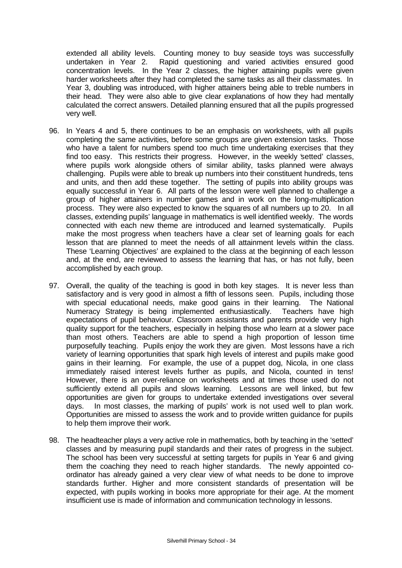extended all ability levels. Counting money to buy seaside toys was successfully undertaken in Year 2. Rapid questioning and varied activities ensured good concentration levels. In the Year 2 classes, the higher attaining pupils were given harder worksheets after they had completed the same tasks as all their classmates. In Year 3, doubling was introduced, with higher attainers being able to treble numbers in their head. They were also able to give clear explanations of how they had mentally calculated the correct answers. Detailed planning ensured that all the pupils progressed very well.

- 96. In Years 4 and 5, there continues to be an emphasis on worksheets, with all pupils completing the same activities, before some groups are given extension tasks. Those who have a talent for numbers spend too much time undertaking exercises that they find too easy. This restricts their progress. However, in the weekly 'setted' classes, where pupils work alongside others of similar ability, tasks planned were always challenging. Pupils were able to break up numbers into their constituent hundreds, tens and units, and then add these together. The setting of pupils into ability groups was equally successful in Year 6. All parts of the lesson were well planned to challenge a group of higher attainers in number games and in work on the long-multiplication process. They were also expected to know the squares of all numbers up to 20. In all classes, extending pupils' language in mathematics is well identified weekly. The words connected with each new theme are introduced and learned systematically. Pupils make the most progress when teachers have a clear set of learning goals for each lesson that are planned to meet the needs of all attainment levels within the class. These 'Learning Objectives' are explained to the class at the beginning of each lesson and, at the end, are reviewed to assess the learning that has, or has not fully, been accomplished by each group.
- 97. Overall, the quality of the teaching is good in both key stages. It is never less than satisfactory and is very good in almost a fifth of lessons seen. Pupils, including those with special educational needs, make good gains in their learning. The National Numeracy Strategy is being implemented enthusiastically. Teachers have high expectations of pupil behaviour. Classroom assistants and parents provide very high quality support for the teachers, especially in helping those who learn at a slower pace than most others. Teachers are able to spend a high proportion of lesson time purposefully teaching. Pupils enjoy the work they are given. Most lessons have a rich variety of learning opportunities that spark high levels of interest and pupils make good gains in their learning. For example, the use of a puppet dog, Nicola, in one class immediately raised interest levels further as pupils, and Nicola, counted in tens! However, there is an over-reliance on worksheets and at times those used do not sufficiently extend all pupils and slows learning. Lessons are well linked, but few opportunities are given for groups to undertake extended investigations over several days. In most classes, the marking of pupils' work is not used well to plan work. Opportunities are missed to assess the work and to provide written guidance for pupils to help them improve their work.
- 98. The headteacher plays a very active role in mathematics, both by teaching in the 'setted' classes and by measuring pupil standards and their rates of progress in the subject. The school has been very successful at setting targets for pupils in Year 6 and giving them the coaching they need to reach higher standards. The newly appointed coordinator has already gained a very clear view of what needs to be done to improve standards further. Higher and more consistent standards of presentation will be expected, with pupils working in books more appropriate for their age. At the moment insufficient use is made of information and communication technology in lessons.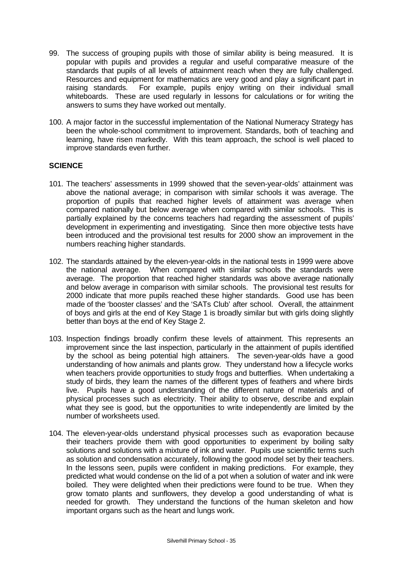- 99. The success of grouping pupils with those of similar ability is being measured. It is popular with pupils and provides a regular and useful comparative measure of the standards that pupils of all levels of attainment reach when they are fully challenged. Resources and equipment for mathematics are very good and play a significant part in raising standards. For example, pupils enjoy writing on their individual small whiteboards. These are used regularly in lessons for calculations or for writing the answers to sums they have worked out mentally.
- 100. A major factor in the successful implementation of the National Numeracy Strategy has been the whole-school commitment to improvement. Standards, both of teaching and learning, have risen markedly. With this team approach, the school is well placed to improve standards even further.

## **SCIENCE**

- 101. The teachers' assessments in 1999 showed that the seven-year-olds' attainment was above the national average; in comparison with similar schools it was average. The proportion of pupils that reached higher levels of attainment was average when compared nationally but below average when compared with similar schools. This is partially explained by the concerns teachers had regarding the assessment of pupils' development in experimenting and investigating. Since then more objective tests have been introduced and the provisional test results for 2000 show an improvement in the numbers reaching higher standards.
- 102. The standards attained by the eleven-year-olds in the national tests in 1999 were above the national average. When compared with similar schools the standards were average. The proportion that reached higher standards was above average nationally and below average in comparison with similar schools. The provisional test results for 2000 indicate that more pupils reached these higher standards. Good use has been made of the 'booster classes' and the 'SATs Club' after school. Overall, the attainment of boys and girls at the end of Key Stage 1 is broadly similar but with girls doing slightly better than boys at the end of Key Stage 2.
- 103. Inspection findings broadly confirm these levels of attainment. This represents an improvement since the last inspection, particularly in the attainment of pupils identified by the school as being potential high attainers. The seven-year-olds have a good understanding of how animals and plants grow. They understand how a lifecycle works when teachers provide opportunities to study frogs and butterflies. When undertaking a study of birds, they learn the names of the different types of feathers and where birds live. Pupils have a good understanding of the different nature of materials and of physical processes such as electricity. Their ability to observe, describe and explain what they see is good, but the opportunities to write independently are limited by the number of worksheets used.
- 104. The eleven-year-olds understand physical processes such as evaporation because their teachers provide them with good opportunities to experiment by boiling salty solutions and solutions with a mixture of ink and water. Pupils use scientific terms such as solution and condensation accurately, following the good model set by their teachers. In the lessons seen, pupils were confident in making predictions. For example, they predicted what would condense on the lid of a pot when a solution of water and ink were boiled. They were delighted when their predictions were found to be true. When they grow tomato plants and sunflowers, they develop a good understanding of what is needed for growth. They understand the functions of the human skeleton and how important organs such as the heart and lungs work.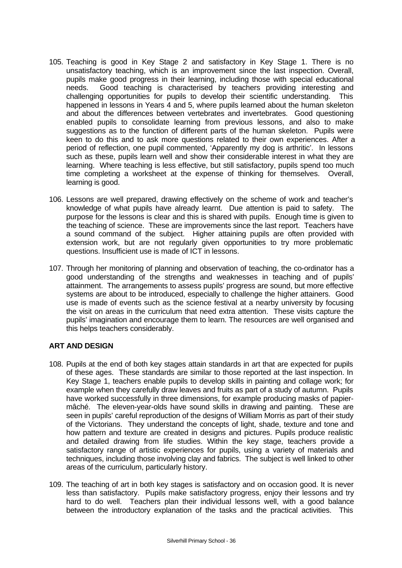- 105. Teaching is good in Key Stage 2 and satisfactory in Key Stage 1. There is no unsatisfactory teaching, which is an improvement since the last inspection. Overall, pupils make good progress in their learning, including those with special educational needs. Good teaching is characterised by teachers providing interesting and challenging opportunities for pupils to develop their scientific understanding. This happened in lessons in Years 4 and 5, where pupils learned about the human skeleton and about the differences between vertebrates and invertebrates. Good questioning enabled pupils to consolidate learning from previous lessons, and also to make suggestions as to the function of different parts of the human skeleton. Pupils were keen to do this and to ask more questions related to their own experiences. After a period of reflection, one pupil commented, 'Apparently my dog is arthritic'. In lessons such as these, pupils learn well and show their considerable interest in what they are learning. Where teaching is less effective, but still satisfactory, pupils spend too much time completing a worksheet at the expense of thinking for themselves. Overall, learning is good.
- 106. Lessons are well prepared, drawing effectively on the scheme of work and teacher's knowledge of what pupils have already learnt. Due attention is paid to safety. The purpose for the lessons is clear and this is shared with pupils. Enough time is given to the teaching of science. These are improvements since the last report. Teachers have a sound command of the subject. Higher attaining pupils are often provided with extension work, but are not regularly given opportunities to try more problematic questions. Insufficient use is made of ICT in lessons.
- 107. Through her monitoring of planning and observation of teaching, the co-ordinator has a good understanding of the strengths and weaknesses in teaching and of pupils' attainment. The arrangements to assess pupils' progress are sound, but more effective systems are about to be introduced, especially to challenge the higher attainers. Good use is made of events such as the science festival at a nearby university by focusing the visit on areas in the curriculum that need extra attention. These visits capture the pupils' imagination and encourage them to learn. The resources are well organised and this helps teachers considerably.

#### **ART AND DESIGN**

- 108. Pupils at the end of both key stages attain standards in art that are expected for pupils of these ages. These standards are similar to those reported at the last inspection. In Key Stage 1, teachers enable pupils to develop skills in painting and collage work; for example when they carefully draw leaves and fruits as part of a study of autumn. Pupils have worked successfully in three dimensions, for example producing masks of papiermâché. The eleven-year-olds have sound skills in drawing and painting. These are seen in pupils' careful reproduction of the designs of William Morris as part of their study of the Victorians. They understand the concepts of light, shade, texture and tone and how pattern and texture are created in designs and pictures. Pupils produce realistic and detailed drawing from life studies. Within the key stage, teachers provide a satisfactory range of artistic experiences for pupils, using a variety of materials and techniques, including those involving clay and fabrics. The subject is well linked to other areas of the curriculum, particularly history.
- 109. The teaching of art in both key stages is satisfactory and on occasion good. It is never less than satisfactory. Pupils make satisfactory progress, enjoy their lessons and try hard to do well. Teachers plan their individual lessons well, with a good balance between the introductory explanation of the tasks and the practical activities. This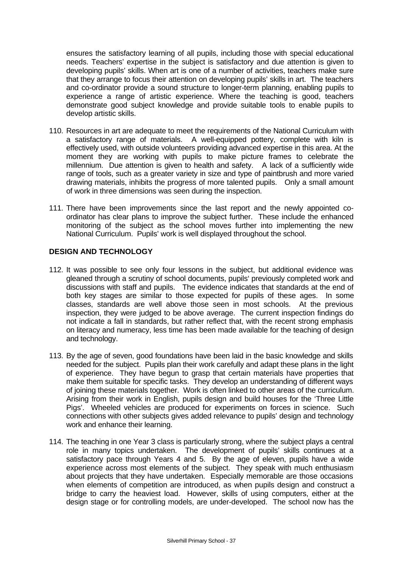ensures the satisfactory learning of all pupils, including those with special educational needs. Teachers' expertise in the subject is satisfactory and due attention is given to developing pupils' skills. When art is one of a number of activities, teachers make sure that they arrange to focus their attention on developing pupils' skills in art. The teachers and co-ordinator provide a sound structure to longer-term planning, enabling pupils to experience a range of artistic experience. Where the teaching is good, teachers demonstrate good subject knowledge and provide suitable tools to enable pupils to develop artistic skills.

- 110. Resources in art are adequate to meet the requirements of the National Curriculum with a satisfactory range of materials. A well-equipped pottery, complete with kiln is effectively used, with outside volunteers providing advanced expertise in this area. At the moment they are working with pupils to make picture frames to celebrate the millennium. Due attention is given to health and safety. A lack of a sufficiently wide range of tools, such as a greater variety in size and type of paintbrush and more varied drawing materials, inhibits the progress of more talented pupils. Only a small amount of work in three dimensions was seen during the inspection.
- 111. There have been improvements since the last report and the newly appointed coordinator has clear plans to improve the subject further. These include the enhanced monitoring of the subject as the school moves further into implementing the new National Curriculum. Pupils' work is well displayed throughout the school.

#### **DESIGN AND TECHNOLOGY**

- 112. It was possible to see only four lessons in the subject, but additional evidence was gleaned through a scrutiny of school documents, pupils' previously completed work and discussions with staff and pupils. The evidence indicates that standards at the end of both key stages are similar to those expected for pupils of these ages. In some classes, standards are well above those seen in most schools. At the previous inspection, they were judged to be above average. The current inspection findings do not indicate a fall in standards, but rather reflect that, with the recent strong emphasis on literacy and numeracy, less time has been made available for the teaching of design and technology.
- 113. By the age of seven, good foundations have been laid in the basic knowledge and skills needed for the subject. Pupils plan their work carefully and adapt these plans in the light of experience. They have begun to grasp that certain materials have properties that make them suitable for specific tasks. They develop an understanding of different ways of joining these materials together. Work is often linked to other areas of the curriculum. Arising from their work in English, pupils design and build houses for the 'Three Little Pigs'. Wheeled vehicles are produced for experiments on forces in science. Such connections with other subjects gives added relevance to pupils' design and technology work and enhance their learning.
- 114. The teaching in one Year 3 class is particularly strong, where the subject plays a central role in many topics undertaken. The development of pupils' skills continues at a satisfactory pace through Years 4 and 5. By the age of eleven, pupils have a wide experience across most elements of the subject. They speak with much enthusiasm about projects that they have undertaken. Especially memorable are those occasions when elements of competition are introduced, as when pupils design and construct a bridge to carry the heaviest load. However, skills of using computers, either at the design stage or for controlling models, are under-developed. The school now has the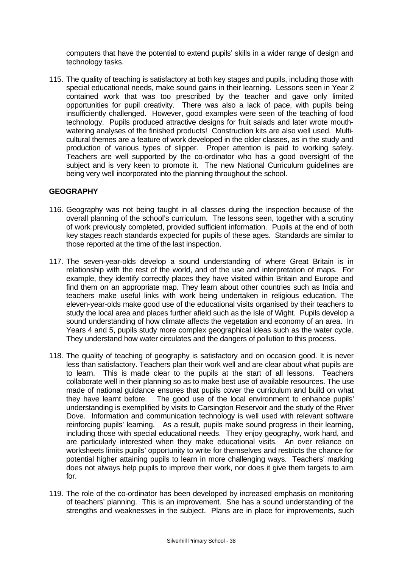computers that have the potential to extend pupils' skills in a wider range of design and technology tasks.

115. The quality of teaching is satisfactory at both key stages and pupils, including those with special educational needs, make sound gains in their learning. Lessons seen in Year 2 contained work that was too prescribed by the teacher and gave only limited opportunities for pupil creativity. There was also a lack of pace, with pupils being insufficiently challenged. However, good examples were seen of the teaching of food technology. Pupils produced attractive designs for fruit salads and later wrote mouthwatering analyses of the finished products! Construction kits are also well used. Multicultural themes are a feature of work developed in the older classes, as in the study and production of various types of slipper. Proper attention is paid to working safely. Teachers are well supported by the co-ordinator who has a good oversight of the subject and is very keen to promote it. The new National Curriculum guidelines are being very well incorporated into the planning throughout the school.

#### **GEOGRAPHY**

- 116. Geography was not being taught in all classes during the inspection because of the overall planning of the school's curriculum. The lessons seen, together with a scrutiny of work previously completed, provided sufficient information. Pupils at the end of both key stages reach standards expected for pupils of these ages. Standards are similar to those reported at the time of the last inspection.
- 117. The seven-year-olds develop a sound understanding of where Great Britain is in relationship with the rest of the world, and of the use and interpretation of maps. For example, they identify correctly places they have visited within Britain and Europe and find them on an appropriate map. They learn about other countries such as India and teachers make useful links with work being undertaken in religious education. The eleven-year-olds make good use of the educational visits organised by their teachers to study the local area and places further afield such as the Isle of Wight. Pupils develop a sound understanding of how climate affects the vegetation and economy of an area. In Years 4 and 5, pupils study more complex geographical ideas such as the water cycle. They understand how water circulates and the dangers of pollution to this process.
- 118. The quality of teaching of geography is satisfactory and on occasion good. It is never less than satisfactory. Teachers plan their work well and are clear about what pupils are to learn. This is made clear to the pupils at the start of all lessons. Teachers collaborate well in their planning so as to make best use of available resources. The use made of national guidance ensures that pupils cover the curriculum and build on what they have learnt before. The good use of the local environment to enhance pupils' understanding is exemplified by visits to Carsington Reservoir and the study of the River Dove. Information and communication technology is well used with relevant software reinforcing pupils' learning. As a result, pupils make sound progress in their learning, including those with special educational needs. They enjoy geography, work hard, and are particularly interested when they make educational visits. An over reliance on worksheets limits pupils' opportunity to write for themselves and restricts the chance for potential higher attaining pupils to learn in more challenging ways. Teachers' marking does not always help pupils to improve their work, nor does it give them targets to aim for.
- 119. The role of the co-ordinator has been developed by increased emphasis on monitoring of teachers' planning. This is an improvement. She has a sound understanding of the strengths and weaknesses in the subject. Plans are in place for improvements, such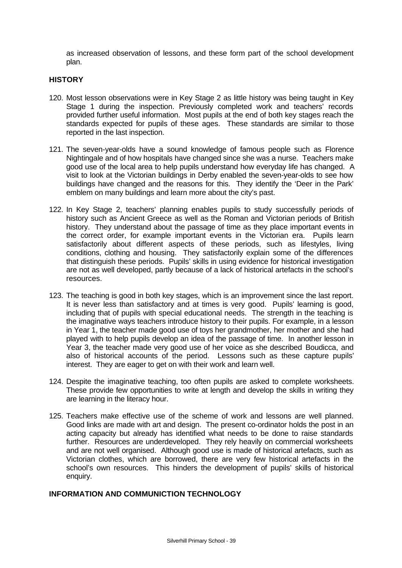as increased observation of lessons, and these form part of the school development plan.

#### **HISTORY**

- 120. Most lesson observations were in Key Stage 2 as little history was being taught in Key Stage 1 during the inspection. Previously completed work and teachers' records provided further useful information. Most pupils at the end of both key stages reach the standards expected for pupils of these ages. These standards are similar to those reported in the last inspection.
- 121. The seven-year-olds have a sound knowledge of famous people such as Florence Nightingale and of how hospitals have changed since she was a nurse. Teachers make good use of the local area to help pupils understand how everyday life has changed. A visit to look at the Victorian buildings in Derby enabled the seven-year-olds to see how buildings have changed and the reasons for this. They identify the 'Deer in the Park' emblem on many buildings and learn more about the city's past.
- 122. In Key Stage 2, teachers' planning enables pupils to study successfully periods of history such as Ancient Greece as well as the Roman and Victorian periods of British history. They understand about the passage of time as they place important events in the correct order, for example important events in the Victorian era. Pupils learn satisfactorily about different aspects of these periods, such as lifestyles, living conditions, clothing and housing. They satisfactorily explain some of the differences that distinguish these periods. Pupils' skills in using evidence for historical investigation are not as well developed, partly because of a lack of historical artefacts in the school's resources.
- 123. The teaching is good in both key stages, which is an improvement since the last report. It is never less than satisfactory and at times is very good. Pupils' learning is good, including that of pupils with special educational needs. The strength in the teaching is the imaginative ways teachers introduce history to their pupils. For example, in a lesson in Year 1, the teacher made good use of toys her grandmother, her mother and she had played with to help pupils develop an idea of the passage of time. In another lesson in Year 3, the teacher made very good use of her voice as she described Boudicca, and also of historical accounts of the period. Lessons such as these capture pupils' interest. They are eager to get on with their work and learn well.
- 124. Despite the imaginative teaching, too often pupils are asked to complete worksheets. These provide few opportunities to write at length and develop the skills in writing they are learning in the literacy hour.
- 125. Teachers make effective use of the scheme of work and lessons are well planned. Good links are made with art and design. The present co-ordinator holds the post in an acting capacity but already has identified what needs to be done to raise standards further. Resources are underdeveloped. They rely heavily on commercial worksheets and are not well organised. Although good use is made of historical artefacts, such as Victorian clothes, which are borrowed, there are very few historical artefacts in the school's own resources. This hinders the development of pupils' skills of historical enquiry.

## **INFORMATION AND COMMUNICTION TECHNOLOGY**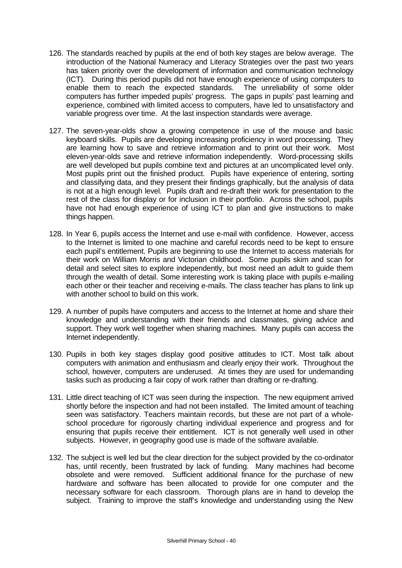- 126. The standards reached by pupils at the end of both key stages are below average. The introduction of the National Numeracy and Literacy Strategies over the past two years has taken priority over the development of information and communication technology (ICT). During this period pupils did not have enough experience of using computers to enable them to reach the expected standards. The unreliability of some older computers has further impeded pupils' progress. The gaps in pupils' past learning and experience, combined with limited access to computers, have led to unsatisfactory and variable progress over time. At the last inspection standards were average.
- 127. The seven-year-olds show a growing competence in use of the mouse and basic keyboard skills. Pupils are developing increasing proficiency in word processing. They are learning how to save and retrieve information and to print out their work. Most eleven-year-olds save and retrieve information independently. Word-processing skills are well developed but pupils combine text and pictures at an uncomplicated level only. Most pupils print out the finished product. Pupils have experience of entering, sorting and classifying data, and they present their findings graphically, but the analysis of data is not at a high enough level. Pupils draft and re-draft their work for presentation to the rest of the class for display or for inclusion in their portfolio. Across the school, pupils have not had enough experience of using ICT to plan and give instructions to make things happen.
- 128. In Year 6, pupils access the Internet and use e-mail with confidence. However, access to the Internet is limited to one machine and careful records need to be kept to ensure each pupil's entitlement. Pupils are beginning to use the Internet to access materials for their work on William Morris and Victorian childhood. Some pupils skim and scan for detail and select sites to explore independently, but most need an adult to guide them through the wealth of detail. Some interesting work is taking place with pupils e-mailing each other or their teacher and receiving e-mails. The class teacher has plans to link up with another school to build on this work.
- 129. A number of pupils have computers and access to the Internet at home and share their knowledge and understanding with their friends and classmates, giving advice and support. They work well together when sharing machines. Many pupils can access the Internet independently.
- 130. Pupils in both key stages display good positive attitudes to ICT. Most talk about computers with animation and enthusiasm and clearly enjoy their work. Throughout the school, however, computers are underused. At times they are used for undemanding tasks such as producing a fair copy of work rather than drafting or re-drafting.
- 131. Little direct teaching of ICT was seen during the inspection. The new equipment arrived shortly before the inspection and had not been installed. The limited amount of teaching seen was satisfactory. Teachers maintain records, but these are not part of a wholeschool procedure for rigorously charting individual experience and progress and for ensuring that pupils receive their entitlement. ICT is not generally well used in other subjects. However, in geography good use is made of the software available.
- 132. The subject is well led but the clear direction for the subject provided by the co-ordinator has, until recently, been frustrated by lack of funding. Many machines had become obsolete and were removed. Sufficient additional finance for the purchase of new hardware and software has been allocated to provide for one computer and the necessary software for each classroom. Thorough plans are in hand to develop the subject. Training to improve the staff's knowledge and understanding using the New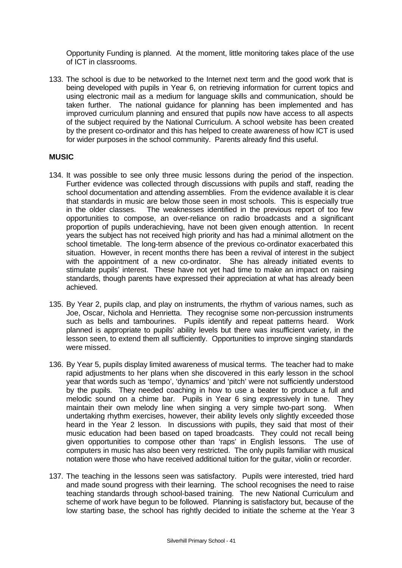Opportunity Funding is planned. At the moment, little monitoring takes place of the use of ICT in classrooms.

133. The school is due to be networked to the Internet next term and the good work that is being developed with pupils in Year 6, on retrieving information for current topics and using electronic mail as a medium for language skills and communication, should be taken further. The national guidance for planning has been implemented and has improved curriculum planning and ensured that pupils now have access to all aspects of the subject required by the National Curriculum. A school website has been created by the present co-ordinator and this has helped to create awareness of how ICT is used for wider purposes in the school community. Parents already find this useful.

#### **MUSIC**

- 134. It was possible to see only three music lessons during the period of the inspection. Further evidence was collected through discussions with pupils and staff, reading the school documentation and attending assemblies. From the evidence available it is clear that standards in music are below those seen in most schools. This is especially true in the older classes. The weaknesses identified in the previous report of too few opportunities to compose, an over-reliance on radio broadcasts and a significant proportion of pupils underachieving, have not been given enough attention. In recent years the subject has not received high priority and has had a minimal allotment on the school timetable. The long-term absence of the previous co-ordinator exacerbated this situation. However, in recent months there has been a revival of interest in the subject with the appointment of a new co-ordinator. She has already initiated events to stimulate pupils' interest. These have not yet had time to make an impact on raising standards, though parents have expressed their appreciation at what has already been achieved.
- 135. By Year 2, pupils clap, and play on instruments, the rhythm of various names, such as Joe, Oscar, Nichola and Henrietta. They recognise some non-percussion instruments such as bells and tambourines. Pupils identify and repeat patterns heard. Work planned is appropriate to pupils' ability levels but there was insufficient variety, in the lesson seen, to extend them all sufficiently. Opportunities to improve singing standards were missed.
- 136. By Year 5, pupils display limited awareness of musical terms. The teacher had to make rapid adjustments to her plans when she discovered in this early lesson in the school year that words such as 'tempo', 'dynamics' and 'pitch' were not sufficiently understood by the pupils. They needed coaching in how to use a beater to produce a full and melodic sound on a chime bar. Pupils in Year 6 sing expressively in tune. They maintain their own melody line when singing a very simple two-part song. When undertaking rhythm exercises, however, their ability levels only slightly exceeded those heard in the Year 2 lesson. In discussions with pupils, they said that most of their music education had been based on taped broadcasts. They could not recall being given opportunities to compose other than 'raps' in English lessons. The use of computers in music has also been very restricted. The only pupils familiar with musical notation were those who have received additional tuition for the guitar, violin or recorder.
- 137. The teaching in the lessons seen was satisfactory. Pupils were interested, tried hard and made sound progress with their learning. The school recognises the need to raise teaching standards through school-based training. The new National Curriculum and scheme of work have begun to be followed. Planning is satisfactory but, because of the low starting base, the school has rightly decided to initiate the scheme at the Year 3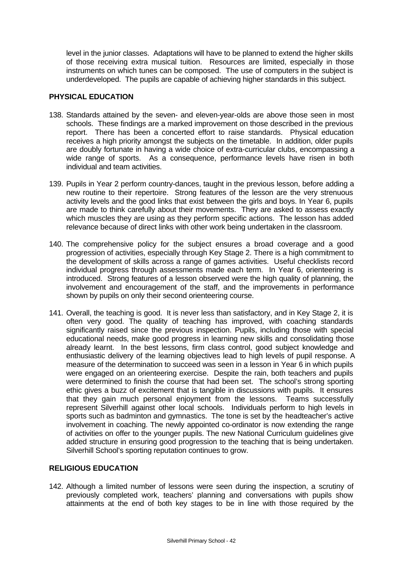level in the junior classes. Adaptations will have to be planned to extend the higher skills of those receiving extra musical tuition. Resources are limited, especially in those instruments on which tunes can be composed. The use of computers in the subject is underdeveloped. The pupils are capable of achieving higher standards in this subject.

#### **PHYSICAL EDUCATION**

- 138. Standards attained by the seven- and eleven-year-olds are above those seen in most schools. These findings are a marked improvement on those described in the previous report. There has been a concerted effort to raise standards. Physical education receives a high priority amongst the subjects on the timetable. In addition, older pupils are doubly fortunate in having a wide choice of extra-curricular clubs, encompassing a wide range of sports. As a consequence, performance levels have risen in both individual and team activities.
- 139. Pupils in Year 2 perform country-dances, taught in the previous lesson, before adding a new routine to their repertoire. Strong features of the lesson are the very strenuous activity levels and the good links that exist between the girls and boys. In Year 6, pupils are made to think carefully about their movements. They are asked to assess exactly which muscles they are using as they perform specific actions. The lesson has added relevance because of direct links with other work being undertaken in the classroom.
- 140. The comprehensive policy for the subject ensures a broad coverage and a good progression of activities, especially through Key Stage 2. There is a high commitment to the development of skills across a range of games activities. Useful checklists record individual progress through assessments made each term. In Year 6, orienteering is introduced. Strong features of a lesson observed were the high quality of planning, the involvement and encouragement of the staff, and the improvements in performance shown by pupils on only their second orienteering course.
- 141. Overall, the teaching is good. It is never less than satisfactory, and in Key Stage 2, it is often very good. The quality of teaching has improved, with coaching standards significantly raised since the previous inspection. Pupils, including those with special educational needs, make good progress in learning new skills and consolidating those already learnt. In the best lessons, firm class control, good subject knowledge and enthusiastic delivery of the learning objectives lead to high levels of pupil response. A measure of the determination to succeed was seen in a lesson in Year 6 in which pupils were engaged on an orienteering exercise. Despite the rain, both teachers and pupils were determined to finish the course that had been set. The school's strong sporting ethic gives a buzz of excitement that is tangible in discussions with pupils. It ensures that they gain much personal enjoyment from the lessons. Teams successfully represent Silverhill against other local schools. Individuals perform to high levels in sports such as badminton and gymnastics. The tone is set by the headteacher's active involvement in coaching. The newly appointed co-ordinator is now extending the range of activities on offer to the younger pupils. The new National Curriculum guidelines give added structure in ensuring good progression to the teaching that is being undertaken. Silverhill School's sporting reputation continues to grow.

## **RELIGIOUS EDUCATION**

142. Although a limited number of lessons were seen during the inspection, a scrutiny of previously completed work, teachers' planning and conversations with pupils show attainments at the end of both key stages to be in line with those required by the